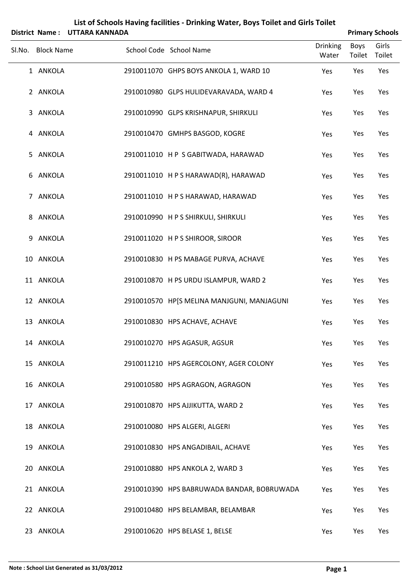|        |                   | District Name: UTTARA KANNADA |                                            |                          |                       | <b>Primary Schools</b> |
|--------|-------------------|-------------------------------|--------------------------------------------|--------------------------|-----------------------|------------------------|
| SI.No. | <b>Block Name</b> |                               | School Code School Name                    | <b>Drinking</b><br>Water | <b>Boys</b><br>Toilet | Girls<br>Toilet        |
|        | 1 ANKOLA          |                               | 2910011070 GHPS BOYS ANKOLA 1, WARD 10     | Yes                      | Yes                   | Yes                    |
|        | 2 ANKOLA          |                               | 2910010980 GLPS HULIDEVARAVADA, WARD 4     | Yes                      | Yes                   | Yes                    |
| 3      | ANKOLA            |                               | 2910010990 GLPS KRISHNAPUR, SHIRKULI       | Yes                      | Yes                   | Yes                    |
|        | 4 ANKOLA          |                               | 2910010470 GMHPS BASGOD, KOGRE             | Yes                      | Yes                   | Yes                    |
| 5      | ANKOLA            |                               | 2910011010 HP S GABITWADA, HARAWAD         | Yes                      | Yes                   | Yes                    |
|        | 6 ANKOLA          |                               | 2910011010 H P S HARAWAD(R), HARAWAD       | Yes                      | Yes                   | Yes                    |
|        | 7 ANKOLA          |                               | 2910011010 H P S HARAWAD, HARAWAD          | Yes                      | Yes                   | Yes                    |
|        | 8 ANKOLA          |                               | 2910010990 HPS SHIRKULI, SHIRKULI          | Yes                      | Yes                   | Yes                    |
| 9      | ANKOLA            |                               | 2910011020 HPS SHIROOR, SIROOR             | Yes                      | Yes                   | Yes                    |
|        | 10 ANKOLA         |                               | 2910010830 H PS MABAGE PURVA, ACHAVE       | Yes                      | Yes                   | Yes                    |
|        | 11 ANKOLA         |                               | 2910010870 H PS URDU ISLAMPUR, WARD 2      | Yes                      | Yes                   | Yes                    |
|        | 12 ANKOLA         |                               | 2910010570 HP[S MELINA MANJGUNI, MANJAGUNI | Yes                      | Yes                   | Yes                    |
|        | 13 ANKOLA         |                               | 2910010830 HPS ACHAVE, ACHAVE              | Yes                      | Yes                   | Yes                    |
|        | 14 ANKOLA         |                               | 2910010270 HPS AGASUR, AGSUR               | Yes                      | Yes                   | Yes                    |
|        | 15 ANKOLA         |                               | 2910011210 HPS AGERCOLONY, AGER COLONY     | Yes                      | Yes                   | Yes                    |
|        | 16 ANKOLA         |                               | 2910010580 HPS AGRAGON, AGRAGON            | Yes                      | Yes                   | Yes                    |
|        | 17 ANKOLA         |                               | 2910010870 HPS AJJIKUTTA, WARD 2           | Yes                      | Yes                   | Yes                    |
|        | 18 ANKOLA         |                               | 2910010080 HPS ALGERI, ALGERI              | Yes                      | Yes                   | Yes                    |
|        | 19 ANKOLA         |                               | 2910010830 HPS ANGADIBAIL, ACHAVE          | Yes                      | Yes                   | Yes                    |
|        | 20 ANKOLA         |                               | 2910010880 HPS ANKOLA 2, WARD 3            | Yes                      | Yes                   | Yes                    |
|        | 21 ANKOLA         |                               | 2910010390 HPS BABRUWADA BANDAR, BOBRUWADA | Yes                      | Yes                   | Yes                    |
|        | 22 ANKOLA         |                               | 2910010480 HPS BELAMBAR, BELAMBAR          | Yes                      | Yes                   | Yes                    |
|        | 23 ANKOLA         |                               | 2910010620 HPS BELASE 1, BELSE             | Yes                      | Yes                   | Yes                    |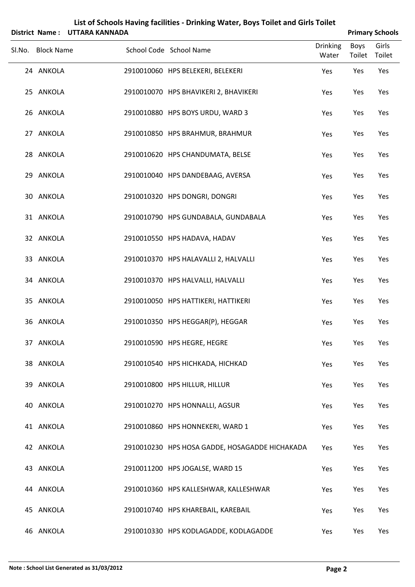|                   | District Name: UTTARA KANNADA | List of Schools Having facilities - Drinking Water, Boys Toilet and Girls Toilet |                       | <b>Primary Schools</b> |
|-------------------|-------------------------------|----------------------------------------------------------------------------------|-----------------------|------------------------|
| Sl.No. Block Name |                               | <b>Drinking</b><br>School Code School Name<br>Water                              | <b>Boys</b><br>Toilet | Girls<br>Toilet        |
| 24 ANKOLA         |                               | 2910010060 HPS BELEKERI, BELEKERI<br>Yes                                         | Yes                   | Yes                    |
| 25 ANKOLA         |                               | 2910010070 HPS BHAVIKERI 2, BHAVIKERI<br>Yes                                     | Yes                   | Yes                    |
| 26 ANKOLA         |                               | 2910010880 HPS BOYS URDU, WARD 3<br>Yes                                          | Yes                   | Yes                    |
| 27 ANKOLA         |                               | 2910010850 HPS BRAHMUR, BRAHMUR<br>Yes                                           | Yes                   | Yes                    |
| 28 ANKOLA         |                               | 2910010620 HPS CHANDUMATA, BELSE<br>Yes                                          | Yes                   | Yes                    |
| 29 ANKOLA         |                               | 2910010040 HPS DANDEBAAG, AVERSA<br>Yes                                          | Yes                   | Yes                    |
| 30 ANKOLA         |                               | 2910010320 HPS DONGRI, DONGRI<br>Yes                                             | Yes                   | Yes                    |
| 31 ANKOLA         |                               | 2910010790 HPS GUNDABALA, GUNDABALA<br>Yes                                       | Yes                   | Yes                    |
| 32 ANKOLA         |                               | 2910010550 HPS HADAVA, HADAV<br>Yes                                              | Yes                   | Yes                    |
| 33 ANKOLA         |                               | 2910010370 HPS HALAVALLI 2, HALVALLI<br>Yes                                      | Yes                   | Yes                    |
| 34 ANKOLA         |                               | 2910010370 HPS HALVALLI, HALVALLI<br>Yes                                         | Yes                   | Yes                    |
| 35 ANKOLA         |                               | 2910010050 HPS HATTIKERI, HATTIKERI<br>Yes                                       | Yes                   | Yes                    |
| 36 ANKOLA         |                               | 2910010350 HPS HEGGAR(P), HEGGAR<br>Yes                                          | Yes                   | Yes                    |
| 37 ANKOLA         |                               | 2910010590 HPS HEGRE, HEGRE<br>Yes                                               | Yes                   | Yes                    |
| 38 ANKOLA         |                               | 2910010540 HPS HICHKADA, HICHKAD<br>Yes                                          | Yes                   | Yes                    |
| 39 ANKOLA         |                               | 2910010800 HPS HILLUR, HILLUR<br>Yes                                             | Yes                   | Yes                    |
| 40 ANKOLA         |                               | 2910010270 HPS HONNALLI, AGSUR<br>Yes                                            | Yes                   | Yes                    |
| 41 ANKOLA         |                               | 2910010860 HPS HONNEKERI, WARD 1<br>Yes                                          | Yes                   | Yes                    |
| 42 ANKOLA         |                               | 2910010230 HPS HOSA GADDE, HOSAGADDE HICHAKADA<br>Yes                            | Yes                   | Yes                    |
| 43 ANKOLA         |                               | 2910011200 HPS JOGALSE, WARD 15<br>Yes                                           | Yes                   | Yes                    |
| 44 ANKOLA         |                               | 2910010360 HPS KALLESHWAR, KALLESHWAR<br>Yes                                     | Yes                   | Yes                    |
| 45 ANKOLA         |                               | 2910010740 HPS KHAREBAIL, KAREBAIL<br>Yes                                        | Yes                   | Yes                    |
| 46 ANKOLA         |                               | 2910010330 HPS KODLAGADDE, KODLAGADDE<br>Yes                                     | Yes                   | Yes                    |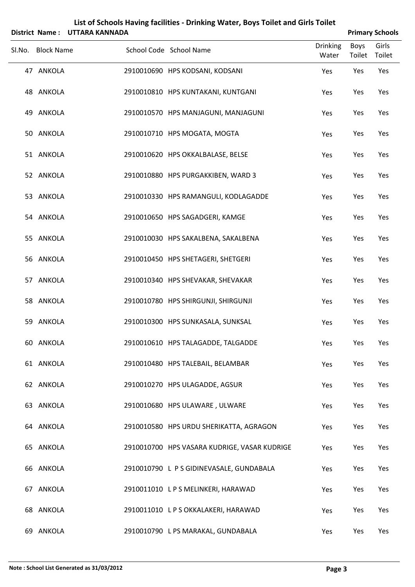|        |                   | District Name: UTTARA KANNADA |                                              |                          |                | <b>Primary Schools</b> |
|--------|-------------------|-------------------------------|----------------------------------------------|--------------------------|----------------|------------------------|
| Sl.No. | <b>Block Name</b> |                               | School Code School Name                      | <b>Drinking</b><br>Water | Boys<br>Toilet | Girls<br>Toilet        |
|        | 47 ANKOLA         |                               | 2910010690 HPS KODSANI, KODSANI              | Yes                      | Yes            | Yes                    |
|        | 48 ANKOLA         |                               | 2910010810 HPS KUNTAKANI, KUNTGANI           | Yes                      | Yes            | Yes                    |
|        | 49 ANKOLA         |                               | 2910010570 HPS MANJAGUNI, MANJAGUNI          | Yes                      | Yes            | Yes                    |
|        | 50 ANKOLA         |                               | 2910010710 HPS MOGATA, MOGTA                 | Yes                      | Yes            | Yes                    |
|        | 51 ANKOLA         |                               | 2910010620 HPS OKKALBALASE, BELSE            | Yes                      | Yes            | Yes                    |
|        | 52 ANKOLA         |                               | 2910010880 HPS PURGAKKIBEN, WARD 3           | Yes                      | Yes            | Yes                    |
|        | 53 ANKOLA         |                               | 2910010330 HPS RAMANGULI, KODLAGADDE         | Yes                      | Yes            | Yes                    |
|        | 54 ANKOLA         |                               | 2910010650 HPS SAGADGERI, KAMGE              | Yes                      | Yes            | Yes                    |
|        | 55 ANKOLA         |                               | 2910010030 HPS SAKALBENA, SAKALBENA          | Yes                      | Yes            | Yes                    |
|        | 56 ANKOLA         |                               | 2910010450 HPS SHETAGERI, SHETGERI           | Yes                      | Yes            | Yes                    |
|        | 57 ANKOLA         |                               | 2910010340 HPS SHEVAKAR, SHEVAKAR            | Yes                      | Yes            | Yes                    |
|        | 58 ANKOLA         |                               | 2910010780 HPS SHIRGUNJI, SHIRGUNJI          | Yes                      | Yes            | Yes                    |
|        | 59 ANKOLA         |                               | 2910010300 HPS SUNKASALA, SUNKSAL            | Yes                      | Yes            | Yes                    |
|        | 60 ANKOLA         |                               | 2910010610 HPS TALAGADDE, TALGADDE           | Yes                      | Yes            | Yes                    |
|        | 61 ANKOLA         |                               | 2910010480 HPS TALEBAIL, BELAMBAR            | Yes                      | Yes            | Yes                    |
|        | 62 ANKOLA         |                               | 2910010270 HPS ULAGADDE, AGSUR               | Yes                      | Yes            | Yes                    |
|        | 63 ANKOLA         |                               | 2910010680 HPS ULAWARE, ULWARE               | Yes                      | Yes            | Yes                    |
|        | 64 ANKOLA         |                               | 2910010580 HPS URDU SHERIKATTA, AGRAGON      | Yes                      | Yes            | Yes                    |
|        | 65 ANKOLA         |                               | 2910010700 HPS VASARA KUDRIGE, VASAR KUDRIGE | Yes                      | Yes            | Yes                    |
|        | 66 ANKOLA         |                               | 2910010790 L P S GIDINEVASALE, GUNDABALA     | Yes                      | Yes            | Yes                    |
|        | 67 ANKOLA         |                               | 2910011010 LPS MELINKERI, HARAWAD            | Yes                      | Yes            | Yes                    |
|        | 68 ANKOLA         |                               | 2910011010 LPS OKKALAKERI, HARAWAD           | Yes                      | Yes            | Yes                    |
|        | 69 ANKOLA         |                               | 2910010790 L PS MARAKAL, GUNDABALA           | Yes                      | Yes            | Yes                    |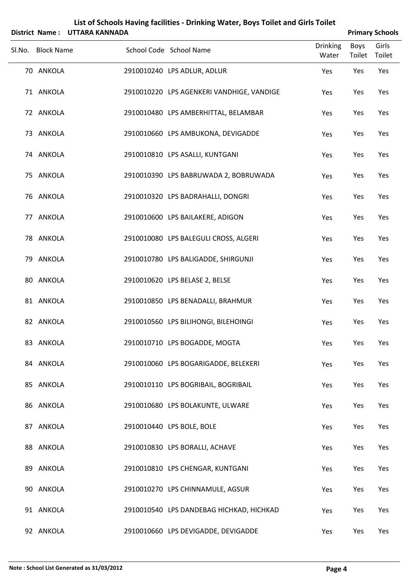|                   | District Name: UTTARA KANNADA |                                           |                          |                       | <b>Primary Schools</b> |
|-------------------|-------------------------------|-------------------------------------------|--------------------------|-----------------------|------------------------|
| Sl.No. Block Name |                               | School Code School Name                   | <b>Drinking</b><br>Water | <b>Boys</b><br>Toilet | Girls<br>Toilet        |
| 70 ANKOLA         |                               | 2910010240 LPS ADLUR, ADLUR               | Yes                      | Yes                   | Yes                    |
| 71 ANKOLA         |                               | 2910010220 LPS AGENKERI VANDHIGE, VANDIGE | Yes                      | Yes                   | Yes                    |
| 72 ANKOLA         |                               | 2910010480 LPS AMBERHITTAL, BELAMBAR      | Yes                      | Yes                   | Yes                    |
| 73 ANKOLA         |                               | 2910010660 LPS AMBUKONA, DEVIGADDE        | Yes                      | Yes                   | Yes                    |
| 74 ANKOLA         |                               | 2910010810 LPS ASALLI, KUNTGANI           | Yes                      | Yes                   | Yes                    |
| 75 ANKOLA         |                               | 2910010390 LPS BABRUWADA 2, BOBRUWADA     | Yes                      | Yes                   | Yes                    |
| 76 ANKOLA         |                               | 2910010320 LPS BADRAHALLI, DONGRI         | Yes                      | Yes                   | Yes                    |
| 77 ANKOLA         |                               | 2910010600 LPS BAILAKERE, ADIGON          | Yes                      | Yes                   | Yes                    |
| 78 ANKOLA         |                               | 2910010080 LPS BALEGULI CROSS, ALGERI     | Yes                      | Yes                   | Yes                    |
| 79 ANKOLA         |                               | 2910010780 LPS BALIGADDE, SHIRGUNJI       | Yes                      | Yes                   | Yes                    |
| 80 ANKOLA         |                               | 2910010620 LPS BELASE 2, BELSE            | Yes                      | Yes                   | Yes                    |
| 81 ANKOLA         |                               | 2910010850 LPS BENADALLI, BRAHMUR         | Yes                      | Yes                   | Yes                    |
| 82 ANKOLA         |                               | 2910010560 LPS BILIHONGI, BILEHOINGI      | Yes                      | Yes                   | Yes                    |
| 83 ANKOLA         |                               | 2910010710 LPS BOGADDE, MOGTA             | Yes                      | Yes                   | Yes                    |
| 84 ANKOLA         |                               | 2910010060 LPS BOGARIGADDE, BELEKERI      | Yes                      | Yes                   | Yes                    |
| 85 ANKOLA         |                               | 2910010110 LPS BOGRIBAIL, BOGRIBAIL       | Yes                      | Yes                   | Yes                    |
| 86 ANKOLA         |                               | 2910010680 LPS BOLAKUNTE, ULWARE          | Yes                      | Yes                   | Yes                    |
| 87 ANKOLA         |                               | 2910010440 LPS BOLE, BOLE                 | Yes                      | Yes                   | Yes                    |
| 88 ANKOLA         |                               | 2910010830 LPS BORALLI, ACHAVE            | Yes                      | Yes                   | Yes                    |
| 89 ANKOLA         |                               | 2910010810 LPS CHENGAR, KUNTGANI          | Yes                      | Yes                   | Yes                    |
| 90 ANKOLA         |                               | 2910010270 LPS CHINNAMULE, AGSUR          | Yes                      | Yes                   | Yes                    |
| 91 ANKOLA         |                               | 2910010540 LPS DANDEBAG HICHKAD, HICHKAD  | Yes                      | Yes                   | Yes                    |
| 92 ANKOLA         |                               | 2910010660 LPS DEVIGADDE, DEVIGADDE       | Yes                      | Yes                   | Yes                    |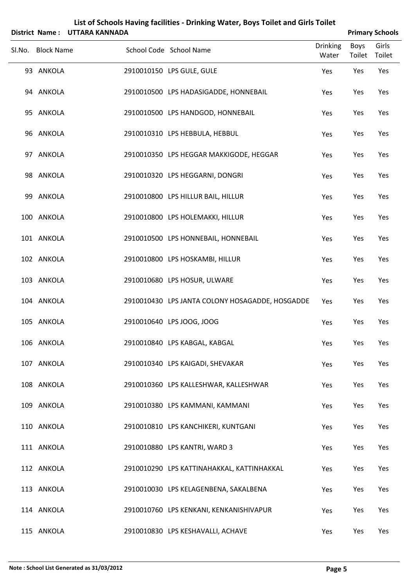|                   | District Name: UTTARA KANNADA |                                                 |                          |                | <b>Primary Schools</b> |
|-------------------|-------------------------------|-------------------------------------------------|--------------------------|----------------|------------------------|
| Sl.No. Block Name |                               | School Code School Name                         | <b>Drinking</b><br>Water | Boys<br>Toilet | Girls<br>Toilet        |
| 93 ANKOLA         |                               | 2910010150 LPS GULE, GULE                       | Yes                      | Yes            | Yes                    |
| 94 ANKOLA         |                               | 2910010500 LPS HADASIGADDE, HONNEBAIL           | Yes                      | Yes            | Yes                    |
| 95 ANKOLA         |                               | 2910010500 LPS HANDGOD, HONNEBAIL               | Yes                      | Yes            | Yes                    |
| 96 ANKOLA         |                               | 2910010310 LPS HEBBULA, HEBBUL                  | Yes                      | Yes            | Yes                    |
| 97 ANKOLA         |                               | 2910010350 LPS HEGGAR MAKKIGODE, HEGGAR         | Yes                      | Yes            | Yes                    |
| 98 ANKOLA         |                               | 2910010320 LPS HEGGARNI, DONGRI                 | Yes                      | Yes            | Yes                    |
| 99 ANKOLA         |                               | 2910010800 LPS HILLUR BAIL, HILLUR              | Yes                      | Yes            | Yes                    |
| 100 ANKOLA        |                               | 2910010800 LPS HOLEMAKKI, HILLUR                | Yes                      | Yes            | Yes                    |
| 101 ANKOLA        |                               | 2910010500 LPS HONNEBAIL, HONNEBAIL             | Yes                      | Yes            | Yes                    |
| 102 ANKOLA        |                               | 2910010800 LPS HOSKAMBI, HILLUR                 | Yes                      | Yes            | Yes                    |
| 103 ANKOLA        |                               | 2910010680 LPS HOSUR, ULWARE                    | Yes                      | Yes            | Yes                    |
| 104 ANKOLA        |                               | 2910010430 LPS JANTA COLONY HOSAGADDE, HOSGADDE | Yes                      | Yes            | Yes                    |
| 105 ANKOLA        |                               | 2910010640 LPS JOOG, JOOG                       | Yes                      | Yes            | Yes                    |
| 106 ANKOLA        |                               | 2910010840 LPS KABGAL, KABGAL                   | Yes                      | Yes            | Yes                    |
| 107 ANKOLA        |                               | 2910010340 LPS KAIGADI, SHEVAKAR                | Yes                      | Yes            | Yes                    |
| 108 ANKOLA        |                               | 2910010360 LPS KALLESHWAR, KALLESHWAR           | Yes                      | Yes            | Yes                    |
| 109 ANKOLA        |                               | 2910010380 LPS KAMMANI, KAMMANI                 | Yes                      | Yes            | Yes                    |
| 110 ANKOLA        |                               | 2910010810 LPS KANCHIKERI, KUNTGANI             | Yes                      | Yes            | Yes                    |
| 111 ANKOLA        |                               | 2910010880 LPS KANTRI, WARD 3                   | Yes                      | Yes            | Yes                    |
| 112 ANKOLA        |                               | 2910010290 LPS KATTINAHAKKAL, KATTINHAKKAL      | Yes                      | Yes            | Yes                    |
| 113 ANKOLA        |                               | 2910010030 LPS KELAGENBENA, SAKALBENA           | Yes                      | Yes            | Yes                    |
| 114 ANKOLA        |                               | 2910010760 LPS KENKANI, KENKANISHIVAPUR         | Yes                      | Yes            | Yes                    |
| 115 ANKOLA        |                               | 2910010830 LPS KESHAVALLI, ACHAVE               | Yes                      | Yes            | Yes                    |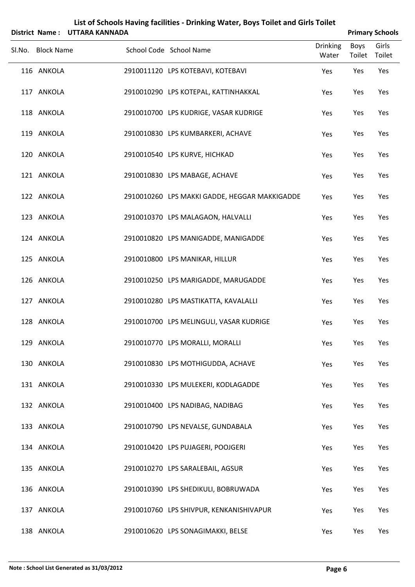| List of Schools Having facilities - Drinking Water, Boys Toilet and Girls Toilet<br>District Name: UTTARA KANNADA<br><b>Primary Schools</b> |  |                                               |                          |                       |                 |  |
|---------------------------------------------------------------------------------------------------------------------------------------------|--|-----------------------------------------------|--------------------------|-----------------------|-----------------|--|
| Sl.No. Block Name                                                                                                                           |  | School Code School Name                       | <b>Drinking</b><br>Water | <b>Boys</b><br>Toilet | Girls<br>Toilet |  |
| 116 ANKOLA                                                                                                                                  |  | 2910011120 LPS KOTEBAVI, KOTEBAVI             | Yes                      | Yes                   | Yes             |  |
| 117 ANKOLA                                                                                                                                  |  | 2910010290 LPS KOTEPAL, KATTINHAKKAL          | Yes                      | Yes                   | Yes             |  |
| 118 ANKOLA                                                                                                                                  |  | 2910010700 LPS KUDRIGE, VASAR KUDRIGE         | Yes                      | Yes                   | Yes             |  |
| 119 ANKOLA                                                                                                                                  |  | 2910010830 LPS KUMBARKERI, ACHAVE             | Yes                      | Yes                   | Yes             |  |
| 120 ANKOLA                                                                                                                                  |  | 2910010540 LPS KURVE, HICHKAD                 | Yes                      | Yes                   | Yes             |  |
| 121 ANKOLA                                                                                                                                  |  | 2910010830 LPS MABAGE, ACHAVE                 | Yes                      | Yes                   | Yes             |  |
| 122 ANKOLA                                                                                                                                  |  | 2910010260 LPS MAKKI GADDE, HEGGAR MAKKIGADDE | Yes                      | Yes                   | Yes             |  |
| 123 ANKOLA                                                                                                                                  |  | 2910010370 LPS MALAGAON, HALVALLI             | Yes                      | Yes                   | Yes             |  |
| 124 ANKOLA                                                                                                                                  |  | 2910010820 LPS MANIGADDE, MANIGADDE           | Yes                      | Yes                   | Yes             |  |
| 125 ANKOLA                                                                                                                                  |  | 2910010800 LPS MANIKAR, HILLUR                | Yes                      | Yes                   | Yes             |  |
| 126 ANKOLA                                                                                                                                  |  | 2910010250 LPS MARIGADDE, MARUGADDE           | Yes                      | Yes                   | Yes             |  |
| 127 ANKOLA                                                                                                                                  |  | 2910010280 LPS MASTIKATTA, KAVALALLI          | Yes                      | Yes                   | Yes             |  |
| 128 ANKOLA                                                                                                                                  |  | 2910010700 LPS MELINGULI, VASAR KUDRIGE       | Yes                      | Yes                   | Yes             |  |
| 129 ANKOLA                                                                                                                                  |  | 2910010770 LPS MORALLI, MORALLI               | Yes                      | Yes                   | Yes             |  |
| 130 ANKOLA                                                                                                                                  |  | 2910010830 LPS MOTHIGUDDA, ACHAVE             | Yes                      | Yes                   | Yes             |  |
| 131 ANKOLA                                                                                                                                  |  | 2910010330 LPS MULEKERI, KODLAGADDE           | Yes                      | Yes                   | Yes             |  |
| 132 ANKOLA                                                                                                                                  |  | 2910010400 LPS NADIBAG, NADIBAG               | Yes                      | Yes                   | Yes             |  |
| 133 ANKOLA                                                                                                                                  |  | 2910010790 LPS NEVALSE, GUNDABALA             | Yes                      | Yes                   | Yes             |  |
| 134 ANKOLA                                                                                                                                  |  | 2910010420 LPS PUJAGERI, POOJGERI             | Yes                      | Yes                   | Yes             |  |
| 135 ANKOLA                                                                                                                                  |  | 2910010270 LPS SARALEBAIL, AGSUR              | Yes                      | Yes                   | Yes             |  |
| 136 ANKOLA                                                                                                                                  |  | 2910010390 LPS SHEDIKULI, BOBRUWADA           | Yes                      | Yes                   | Yes             |  |
| 137 ANKOLA                                                                                                                                  |  | 2910010760 LPS SHIVPUR, KENKANISHIVAPUR       | Yes                      | Yes                   | Yes             |  |
| 138 ANKOLA                                                                                                                                  |  | 2910010620 LPS SONAGIMAKKI, BELSE             | Yes                      | Yes                   | Yes             |  |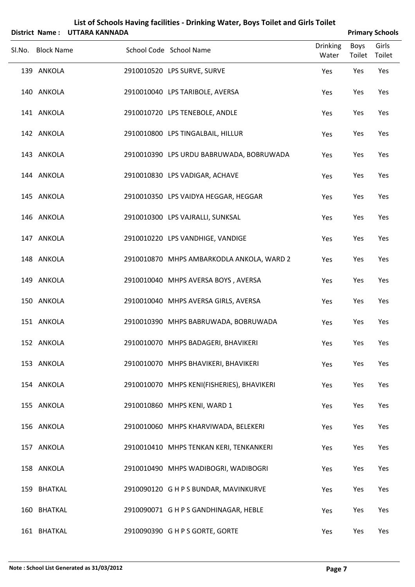|                   | District Name: UTTARA KANNADA |                                            |                          |                       | <b>Primary Schools</b> |
|-------------------|-------------------------------|--------------------------------------------|--------------------------|-----------------------|------------------------|
| Sl.No. Block Name |                               | School Code School Name                    | <b>Drinking</b><br>Water | Boys<br>Toilet Toilet | Girls                  |
| 139 ANKOLA        |                               | 2910010520 LPS SURVE, SURVE                | Yes                      | Yes                   | Yes                    |
| 140 ANKOLA        |                               | 2910010040 LPS TARIBOLE, AVERSA            | Yes                      | Yes                   | Yes                    |
| 141 ANKOLA        |                               | 2910010720 LPS TENEBOLE, ANDLE             | Yes                      | Yes                   | Yes                    |
| 142 ANKOLA        |                               | 2910010800 LPS TINGALBAIL, HILLUR          | Yes                      | Yes                   | Yes                    |
| 143 ANKOLA        |                               | 2910010390 LPS URDU BABRUWADA, BOBRUWADA   | Yes                      | Yes                   | Yes                    |
| 144 ANKOLA        |                               | 2910010830 LPS VADIGAR, ACHAVE             | Yes                      | Yes                   | Yes                    |
| 145 ANKOLA        |                               | 2910010350 LPS VAIDYA HEGGAR, HEGGAR       | Yes                      | Yes                   | Yes                    |
| 146 ANKOLA        |                               | 2910010300 LPS VAJRALLI, SUNKSAL           | Yes                      | Yes                   | Yes                    |
| 147 ANKOLA        |                               | 2910010220 LPS VANDHIGE, VANDIGE           | Yes                      | Yes                   | Yes                    |
| 148 ANKOLA        |                               | 2910010870 MHPS AMBARKODLA ANKOLA, WARD 2  | Yes                      | Yes                   | Yes                    |
| 149 ANKOLA        |                               | 2910010040 MHPS AVERSA BOYS, AVERSA        | Yes                      | Yes                   | Yes                    |
| 150 ANKOLA        |                               | 2910010040 MHPS AVERSA GIRLS, AVERSA       | Yes                      | Yes                   | Yes                    |
| 151 ANKOLA        |                               | 2910010390 MHPS BABRUWADA, BOBRUWADA       | Yes                      | Yes                   | Yes                    |
| 152 ANKOLA        |                               | 2910010070 MHPS BADAGERI, BHAVIKERI        | Yes                      | Yes                   | Yes                    |
| 153 ANKOLA        |                               | 2910010070 MHPS BHAVIKERI, BHAVIKERI       | Yes                      | Yes                   | Yes                    |
| 154 ANKOLA        |                               | 2910010070 MHPS KENI(FISHERIES), BHAVIKERI | Yes                      | Yes                   | Yes                    |
| 155 ANKOLA        |                               | 2910010860 MHPS KENI, WARD 1               | Yes                      | Yes                   | Yes                    |
| 156 ANKOLA        |                               | 2910010060 MHPS KHARVIWADA, BELEKERI       | Yes                      | Yes                   | Yes                    |
| 157 ANKOLA        |                               | 2910010410 MHPS TENKAN KERI, TENKANKERI    | Yes                      | Yes                   | Yes                    |
| 158 ANKOLA        |                               | 2910010490 MHPS WADIBOGRI, WADIBOGRI       | Yes                      | Yes                   | Yes                    |
| 159 BHATKAL       |                               | 2910090120 G H P S BUNDAR, MAVINKURVE      | Yes                      | Yes                   | Yes                    |
| 160 BHATKAL       |                               | 2910090071 G H P S GANDHINAGAR, HEBLE      | Yes                      | Yes                   | Yes                    |
| 161 BHATKAL       |                               | 2910090390 G H P S GORTE, GORTE            | Yes                      | Yes                   | Yes                    |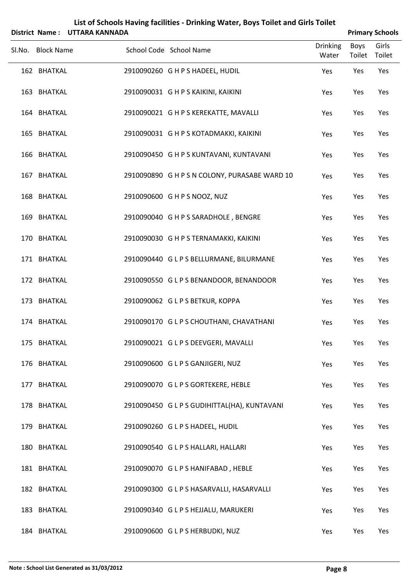|        |                   | District Name: UTTARA KANNADA |                         |                                               |                   |      | <b>Primary Schools</b> |
|--------|-------------------|-------------------------------|-------------------------|-----------------------------------------------|-------------------|------|------------------------|
| Sl.No. | <b>Block Name</b> |                               | School Code School Name |                                               | Drinking<br>Water | Boys | Girls<br>Toilet Toilet |
|        | 162 BHATKAL       |                               |                         | 2910090260 G H P S HADEEL, HUDIL              | Yes               | Yes  | Yes                    |
|        | 163 BHATKAL       |                               |                         | 2910090031 G H P S KAIKINI, KAIKINI           | Yes               | Yes  | Yes                    |
|        | 164 BHATKAL       |                               |                         | 2910090021 G H P S KEREKATTE, MAVALLI         | Yes               | Yes  | Yes                    |
|        | 165 BHATKAL       |                               |                         | 2910090031 G H P S KOTADMAKKI, KAIKINI        | Yes               | Yes  | Yes                    |
|        | 166 BHATKAL       |                               |                         | 2910090450 G H P S KUNTAVANI, KUNTAVANI       | Yes               | Yes  | Yes                    |
|        | 167 BHATKAL       |                               |                         | 2910090890 G H P S N COLONY, PURASABE WARD 10 | Yes               | Yes  | Yes                    |
|        | 168 BHATKAL       |                               |                         | 2910090600 GHPS NOOZ, NUZ                     | Yes               | Yes  | Yes                    |
|        | 169 BHATKAL       |                               |                         | 2910090040 G H P S SARADHOLE, BENGRE          | Yes               | Yes  | Yes                    |
|        | 170 BHATKAL       |                               |                         | 2910090030 G H P S TERNAMAKKI, KAIKINI        | Yes               | Yes  | Yes                    |
|        | 171 BHATKAL       |                               |                         | 2910090440 G L P S BELLURMANE, BILURMANE      | Yes               | Yes  | Yes                    |
|        | 172 BHATKAL       |                               |                         | 2910090550 GLPS BENANDOOR, BENANDOOR          | Yes               | Yes  | Yes                    |
|        | 173 BHATKAL       |                               |                         | 2910090062 GLPS BETKUR, KOPPA                 | Yes               | Yes  | Yes                    |
|        | 174 BHATKAL       |                               |                         | 2910090170 G L P S CHOUTHANI, CHAVATHANI      | Yes               | Yes  | Yes                    |
|        | 175 BHATKAL       |                               |                         | 2910090021 GLPSDEEVGERI, MAVALLI              | Yes               | Yes  | Yes                    |
|        | 176 BHATKAL       |                               |                         | 2910090600 G L P S GANJIGERI, NUZ             | Yes               | Yes  | Yes                    |
|        | 177 BHATKAL       |                               |                         | 2910090070 G L P S GORTEKERE, HEBLE           | Yes               | Yes  | Yes                    |
|        | 178 BHATKAL       |                               |                         | 2910090450 GLPS GUDIHITTAL(HA), KUNTAVANI     | Yes               | Yes  | Yes                    |
|        | 179 BHATKAL       |                               |                         | 2910090260 GLPS HADEEL, HUDIL                 | Yes               | Yes  | Yes                    |
|        | 180 BHATKAL       |                               |                         | 2910090540 GLPS HALLARI, HALLARI              | Yes               | Yes  | Yes                    |
|        | 181 BHATKAL       |                               |                         | 2910090070 GLPS HANIFABAD, HEBLE              | Yes               | Yes  | Yes                    |
|        | 182 BHATKAL       |                               |                         | 2910090300 GLPS HASARVALLI, HASARVALLI        | Yes               | Yes  | Yes                    |
|        | 183 BHATKAL       |                               |                         | 2910090340 GLPS HEJJALU, MARUKERI             | Yes               | Yes  | Yes                    |
|        | 184 BHATKAL       |                               |                         | 2910090600 G L P S HERBUDKI, NUZ              | Yes               | Yes  | Yes                    |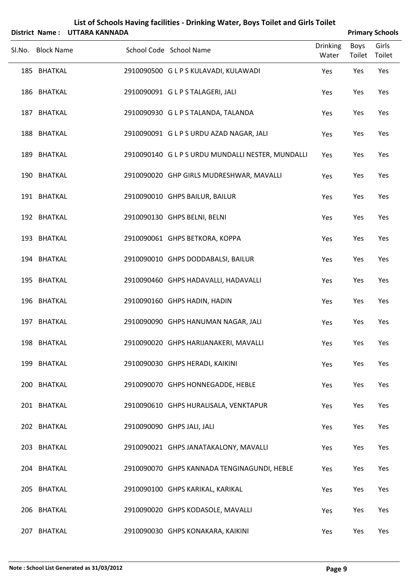|        |                   | District Name: UTTARA KANNADA |                                                   |                          |                | <b>Primary Schools</b> |
|--------|-------------------|-------------------------------|---------------------------------------------------|--------------------------|----------------|------------------------|
| Sl.No. | <b>Block Name</b> |                               | School Code School Name                           | <b>Drinking</b><br>Water | Boys<br>Toilet | Girls<br>Toilet        |
|        | 185 BHATKAL       |                               | 2910090500 G L P S KULAVADI, KULAWADI             | Yes                      | Yes            | Yes                    |
|        | 186 BHATKAL       |                               | 2910090091 GLPSTALAGERI, JALI                     | Yes                      | Yes            | Yes                    |
|        | 187 BHATKAL       |                               | 2910090930 GLPSTALANDA, TALANDA                   | Yes                      | Yes            | Yes                    |
|        | 188 BHATKAL       |                               | 2910090091 G L P S URDU AZAD NAGAR, JALI          | Yes                      | Yes            | Yes                    |
|        | 189 BHATKAL       |                               | 2910090140 G L P S URDU MUNDALLI NESTER, MUNDALLI | Yes                      | Yes            | Yes                    |
|        | 190 BHATKAL       |                               | 2910090020 GHP GIRLS MUDRESHWAR, MAVALLI          | Yes                      | Yes            | Yes                    |
|        | 191 BHATKAL       |                               | 2910090010 GHPS BAILUR, BAILUR                    | Yes                      | Yes            | Yes                    |
|        | 192 BHATKAL       |                               | 2910090130 GHPS BELNI, BELNI                      | Yes                      | Yes            | Yes                    |
|        | 193 BHATKAL       |                               | 2910090061 GHPS BETKORA, KOPPA                    | Yes                      | Yes            | Yes                    |
|        | 194 BHATKAL       |                               | 2910090010 GHPS DODDABALSI, BAILUR                | Yes                      | Yes            | Yes                    |
|        | 195 BHATKAL       |                               | 2910090460 GHPS HADAVALLI, HADAVALLI              | Yes                      | Yes            | Yes                    |
|        | 196 BHATKAL       |                               | 2910090160 GHPS HADIN, HADIN                      | Yes                      | Yes            | Yes                    |
|        | 197 BHATKAL       |                               | 2910090090 GHPS HANUMAN NAGAR, JALI               | Yes                      | Yes            | Yes                    |
|        | 198 BHATKAL       |                               | 2910090020 GHPS HARIJANAKERI, MAVALLI             | Yes                      | Yes            | Yes                    |
|        | 199 BHATKAL       |                               | 2910090030 GHPS HERADI, KAIKINI                   | Yes                      | Yes            | Yes                    |
|        | 200 BHATKAL       |                               | 2910090070 GHPS HONNEGADDE, HEBLE                 | Yes                      | Yes            | Yes                    |
|        | 201 BHATKAL       |                               | 2910090610 GHPS HURALISALA, VENKTAPUR             | Yes                      | Yes            | Yes                    |
|        | 202 BHATKAL       |                               | 2910090090 GHPS JALI, JALI                        | Yes                      | Yes            | Yes                    |
|        | 203 BHATKAL       |                               | 2910090021 GHPS JANATAKALONY, MAVALLI             | Yes                      | Yes            | Yes                    |
|        | 204 BHATKAL       |                               | 2910090070 GHPS KANNADA TENGINAGUNDI, HEBLE       | Yes                      | Yes            | Yes                    |
|        | 205 BHATKAL       |                               | 2910090100 GHPS KARIKAL, KARIKAL                  | Yes                      | Yes            | Yes                    |
|        | 206 BHATKAL       |                               | 2910090020 GHPS KODASOLE, MAVALLI                 | Yes                      | Yes            | Yes                    |
|        | 207 BHATKAL       |                               | 2910090030 GHPS KONAKARA, KAIKINI                 | Yes                      | Yes            | Yes                    |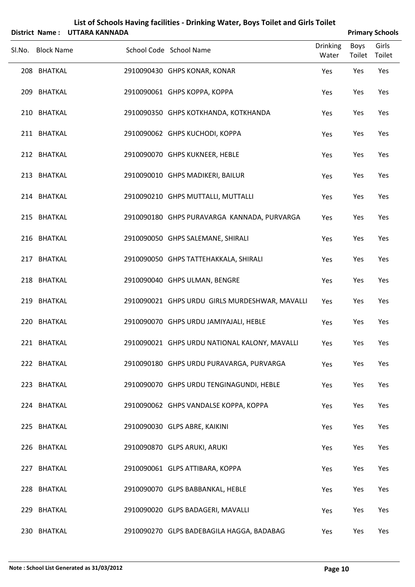|                   | District Name: UTTARA KANNADA |                                                |                          |                | <b>Primary Schools</b> |
|-------------------|-------------------------------|------------------------------------------------|--------------------------|----------------|------------------------|
| Sl.No. Block Name |                               | School Code School Name                        | <b>Drinking</b><br>Water | Boys<br>Toilet | Girls<br>Toilet        |
| 208 BHATKAL       |                               | 2910090430 GHPS KONAR, KONAR                   | Yes                      | Yes            | Yes                    |
| 209 BHATKAL       |                               | 2910090061 GHPS КОРРА, КОРРА                   | Yes                      | Yes            | Yes                    |
| 210 BHATKAL       |                               | 2910090350 GHPS KOTKHANDA, KOTKHANDA           | Yes                      | Yes            | Yes                    |
| 211 BHATKAL       |                               | 2910090062 GHPS KUCHODI, KOPPA                 | Yes                      | Yes            | Yes                    |
| 212 BHATKAL       |                               | 2910090070 GHPS KUKNEER, HEBLE                 | Yes                      | Yes            | Yes                    |
| 213 BHATKAL       |                               | 2910090010 GHPS MADIKERI, BAILUR               | Yes                      | Yes            | Yes                    |
| 214 BHATKAL       |                               | 2910090210 GHPS MUTTALLI, MUTTALLI             | Yes                      | Yes            | Yes                    |
| 215 BHATKAL       |                               | 2910090180 GHPS PURAVARGA KANNADA, PURVARGA    | Yes                      | Yes            | Yes                    |
| 216 BHATKAL       |                               | 2910090050 GHPS SALEMANE, SHIRALI              | Yes                      | Yes            | Yes                    |
| 217 BHATKAL       |                               | 2910090050 GHPS TATTEHAKKALA, SHIRALI          | Yes                      | Yes            | Yes                    |
| 218 BHATKAL       |                               | 2910090040 GHPS ULMAN, BENGRE                  | Yes                      | Yes            | Yes                    |
| 219 BHATKAL       |                               | 2910090021 GHPS URDU GIRLS MURDESHWAR, MAVALLI | Yes                      | Yes            | Yes                    |
| 220 BHATKAL       |                               | 2910090070 GHPS URDU JAMIYAJALI, HEBLE         | Yes                      | Yes            | Yes                    |
| 221 BHATKAL       |                               | 2910090021 GHPS URDU NATIONAL KALONY, MAVALLI  | Yes                      | Yes            | Yes                    |
| 222 BHATKAL       |                               | 2910090180 GHPS URDU PURAVARGA, PURVARGA       | Yes                      | Yes            | Yes                    |
| 223 BHATKAL       |                               | 2910090070 GHPS URDU TENGINAGUNDI, HEBLE       | Yes                      | Yes            | Yes                    |
| 224 BHATKAL       |                               | 2910090062 GHPS VANDALSE KOPPA, KOPPA          | Yes                      | Yes            | Yes                    |
| 225 BHATKAL       |                               | 2910090030 GLPS ABRE, KAIKINI                  | Yes                      | Yes            | Yes                    |
| 226 BHATKAL       |                               | 2910090870 GLPS ARUKI, ARUKI                   | Yes                      | Yes            | Yes                    |
| 227 BHATKAL       |                               | 2910090061 GLPS ATTIBARA, KOPPA                | Yes                      | Yes            | Yes                    |
| 228 BHATKAL       |                               | 2910090070 GLPS BABBANKAL, HEBLE               | Yes                      | Yes            | Yes                    |
| 229 BHATKAL       |                               | 2910090020 GLPS BADAGERI, MAVALLI              | Yes                      | Yes            | Yes                    |
| 230 BHATKAL       |                               | 2910090270 GLPS BADEBAGILA HAGGA, BADABAG      | Yes                      | Yes            | Yes                    |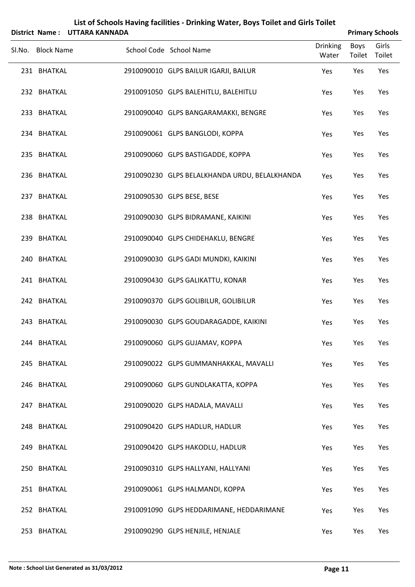|                   | District Name: UTTARA KANNADA |                                               |                          |                | <b>Primary Schools</b> |
|-------------------|-------------------------------|-----------------------------------------------|--------------------------|----------------|------------------------|
| Sl.No. Block Name |                               | School Code School Name                       | <b>Drinking</b><br>Water | Boys<br>Toilet | Girls<br>Toilet        |
| 231 BHATKAL       |                               | 2910090010 GLPS BAILUR IGARJI, BAILUR         | Yes                      | Yes            | Yes                    |
| 232 BHATKAL       |                               | 2910091050 GLPS BALEHITLU, BALEHITLU          | Yes                      | Yes            | Yes                    |
| 233 BHATKAL       |                               | 2910090040 GLPS BANGARAMAKKI, BENGRE          | Yes                      | Yes            | Yes                    |
| 234 BHATKAL       |                               | 2910090061 GLPS BANGLODI, KOPPA               | Yes                      | Yes            | Yes                    |
| 235 BHATKAL       |                               | 2910090060 GLPS BASTIGADDE, KOPPA             | Yes                      | Yes            | Yes                    |
| 236 BHATKAL       |                               | 2910090230 GLPS BELALKHANDA URDU, BELALKHANDA | Yes                      | Yes            | Yes                    |
| 237 BHATKAL       |                               | 2910090530 GLPS BESE, BESE                    | Yes                      | Yes            | Yes                    |
| 238 BHATKAL       |                               | 2910090030 GLPS BIDRAMANE, KAIKINI            | Yes                      | Yes            | Yes                    |
| 239 BHATKAL       |                               | 2910090040 GLPS CHIDEHAKLU, BENGRE            | Yes                      | Yes            | Yes                    |
| 240 BHATKAL       |                               | 2910090030 GLPS GADI MUNDKI, KAIKINI          | Yes                      | Yes            | Yes                    |
| 241 BHATKAL       |                               | 2910090430 GLPS GALIKATTU, KONAR              | Yes                      | Yes            | Yes                    |
| 242 BHATKAL       |                               | 2910090370 GLPS GOLIBILUR, GOLIBILUR          | Yes                      | Yes            | Yes                    |
| 243 BHATKAL       |                               | 2910090030 GLPS GOUDARAGADDE, KAIKINI         | Yes                      | Yes            | Yes                    |
| 244 BHATKAL       |                               | 2910090060 GLPS GUJAMAV, KOPPA                | Yes                      | Yes            | Yes                    |
| 245 BHATKAL       |                               | 2910090022 GLPS GUMMANHAKKAL, MAVALLI         | Yes                      | Yes            | Yes                    |
| 246 BHATKAL       |                               | 2910090060 GLPS GUNDLAKATTA, KOPPA            | Yes                      | Yes            | Yes                    |
| 247 BHATKAL       |                               | 2910090020 GLPS HADALA, MAVALLI               | Yes                      | Yes            | Yes                    |
| 248 BHATKAL       |                               | 2910090420 GLPS HADLUR, HADLUR                | Yes                      | Yes            | Yes                    |
| 249 BHATKAL       |                               | 2910090420 GLPS HAKODLU, HADLUR               | Yes                      | Yes            | Yes                    |
| 250 BHATKAL       |                               | 2910090310 GLPS HALLYANI, HALLYANI            | Yes                      | Yes            | Yes                    |
| 251 BHATKAL       |                               | 2910090061 GLPS HALMANDI, KOPPA               | Yes                      | Yes            | Yes                    |
| 252 BHATKAL       |                               | 2910091090 GLPS HEDDARIMANE, HEDDARIMANE      | Yes                      | Yes            | Yes                    |
| 253 BHATKAL       |                               | 2910090290 GLPS HENJILE, HENJALE              | Yes                      | Yes            | Yes                    |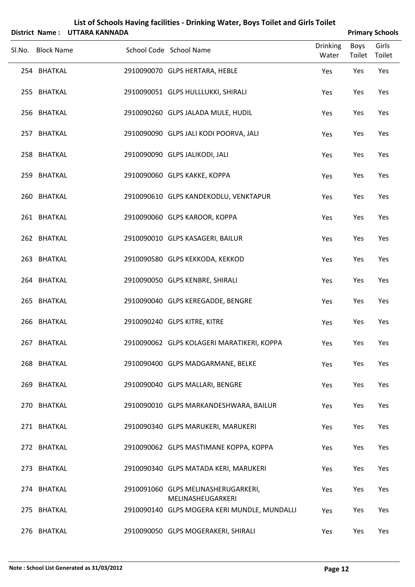| District Name: UTTARA KANNADA |                                                                   |                          |                       | <b>Primary Schools</b> |
|-------------------------------|-------------------------------------------------------------------|--------------------------|-----------------------|------------------------|
| Sl.No. Block Name             | School Code School Name                                           | <b>Drinking</b><br>Water | Boys<br>Toilet Toilet | Girls                  |
| 254 BHATKAL                   | 2910090070 GLPS HERTARA, HEBLE                                    | Yes                      | Yes                   | Yes                    |
| 255 BHATKAL                   | 2910090051 GLPS HULLLUKKI, SHIRALI                                | Yes                      | Yes                   | Yes                    |
| 256 BHATKAL                   | 2910090260 GLPS JALADA MULE, HUDIL                                | Yes                      | Yes                   | Yes                    |
| 257 BHATKAL                   | 2910090090 GLPS JALI KODI POORVA, JALI                            | Yes                      | Yes                   | Yes                    |
| 258 BHATKAL                   | 2910090090 GLPS JALIKODI, JALI                                    | Yes                      | Yes                   | Yes                    |
| 259 BHATKAL                   | 2910090060 GLPS KAKKE, KOPPA                                      | Yes                      | Yes                   | Yes                    |
| 260 BHATKAL                   | 2910090610 GLPS KANDEKODLU, VENKTAPUR                             | Yes                      | Yes                   | Yes                    |
| 261 BHATKAL                   | 2910090060 GLPS KAROOR, KOPPA                                     | Yes                      | Yes                   | Yes                    |
| 262 BHATKAL                   | 2910090010 GLPS KASAGERI, BAILUR                                  | Yes                      | Yes                   | Yes                    |
| 263 BHATKAL                   | 2910090580 GLPS KEKKODA, KEKKOD                                   | Yes                      | Yes                   | Yes                    |
| 264 BHATKAL                   | 2910090050 GLPS KENBRE, SHIRALI                                   | Yes                      | Yes                   | Yes                    |
| 265 BHATKAL                   | 2910090040 GLPS KEREGADDE, BENGRE                                 | Yes                      | Yes                   | Yes                    |
| 266 BHATKAL                   | 2910090240 GLPS KITRE, KITRE                                      | Yes                      | Yes                   | Yes                    |
| 267 BHATKAL                   | 2910090062 GLPS KOLAGERI MARATIKERI, KOPPA                        | Yes                      | Yes                   | Yes                    |
| 268 BHATKAL                   | 2910090400 GLPS MADGARMANE, BELKE                                 | Yes                      | Yes                   | Yes                    |
| 269 BHATKAL                   | 2910090040 GLPS MALLARI, BENGRE                                   | Yes                      | Yes                   | Yes                    |
| 270 BHATKAL                   | 2910090010 GLPS MARKANDESHWARA, BAILUR                            | Yes                      | Yes                   | Yes                    |
| 271 BHATKAL                   | 2910090340 GLPS MARUKERI, MARUKERI                                | Yes                      | Yes                   | Yes                    |
| 272 BHATKAL                   | 2910090062 GLPS MASTIMANE KOPPA, KOPPA                            | Yes                      | Yes                   | Yes                    |
| 273 BHATKAL                   | 2910090340 GLPS MATADA KERI, MARUKERI                             | Yes                      | Yes                   | Yes                    |
| 274 BHATKAL                   | 2910091060 GLPS MELINASHERUGARKERI,                               | Yes                      | Yes                   | Yes                    |
| 275 BHATKAL                   | MELINASHEUGARKERI<br>2910090140 GLPS MOGERA KERI MUNDLE, MUNDALLI | Yes                      | Yes                   | Yes                    |
| 276 BHATKAL                   | 2910090050 GLPS MOGERAKERI, SHIRALI                               | Yes                      | Yes                   | Yes                    |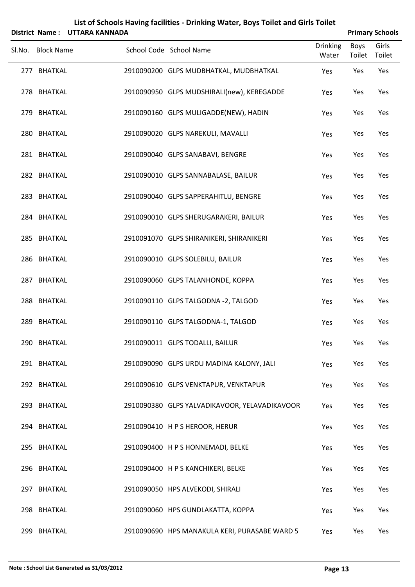|     |                   | District Name: UTTARA KANNADA |                                               |                          |                       | <b>Primary Schools</b> |
|-----|-------------------|-------------------------------|-----------------------------------------------|--------------------------|-----------------------|------------------------|
|     | Sl.No. Block Name |                               | School Code School Name                       | <b>Drinking</b><br>Water | <b>Boys</b><br>Toilet | Girls<br>Toilet        |
|     | 277 BHATKAL       |                               | 2910090200 GLPS MUDBHATKAL, MUDBHATKAL        | Yes                      | Yes                   | Yes                    |
|     | 278 BHATKAL       |                               | 2910090950 GLPS MUDSHIRALI(new), KEREGADDE    | Yes                      | Yes                   | Yes                    |
|     | 279 BHATKAL       |                               | 2910090160 GLPS MULIGADDE(NEW), HADIN         | Yes                      | Yes                   | Yes                    |
|     | 280 BHATKAL       |                               | 2910090020 GLPS NAREKULI, MAVALLI             | Yes                      | Yes                   | Yes                    |
|     | 281 BHATKAL       |                               | 2910090040 GLPS SANABAVI, BENGRE              | Yes                      | Yes                   | Yes                    |
|     | 282 BHATKAL       |                               | 2910090010 GLPS SANNABALASE, BAILUR           | Yes                      | Yes                   | Yes                    |
|     | 283 BHATKAL       |                               | 2910090040 GLPS SAPPERAHITLU, BENGRE          | Yes                      | Yes                   | Yes                    |
|     | 284 BHATKAL       |                               | 2910090010 GLPS SHERUGARAKERI, BAILUR         | Yes                      | Yes                   | Yes                    |
|     | 285 BHATKAL       |                               | 2910091070 GLPS SHIRANIKERI, SHIRANIKERI      | Yes                      | Yes                   | Yes                    |
|     | 286 BHATKAL       |                               | 2910090010 GLPS SOLEBILU, BAILUR              | Yes                      | Yes                   | Yes                    |
|     | 287 BHATKAL       |                               | 2910090060 GLPS TALANHONDE, KOPPA             | Yes                      | Yes                   | Yes                    |
|     | 288 BHATKAL       |                               | 2910090110 GLPS TALGODNA -2, TALGOD           | Yes                      | Yes                   | Yes                    |
| 289 | <b>BHATKAL</b>    |                               | 2910090110 GLPS TALGODNA-1, TALGOD            | Yes                      | Yes                   | Yes                    |
|     | 290 BHATKAL       |                               | 2910090011 GLPS TODALLI, BAILUR               | Yes                      | Yes                   | Yes                    |
|     | 291 BHATKAL       |                               | 2910090090 GLPS URDU MADINA KALONY, JALI      | Yes                      | Yes                   | Yes                    |
|     | 292 BHATKAL       |                               | 2910090610 GLPS VENKTAPUR, VENKTAPUR          | Yes                      | Yes                   | Yes                    |
|     | 293 BHATKAL       |                               | 2910090380 GLPS YALVADIKAVOOR, YELAVADIKAVOOR | Yes                      | Yes                   | Yes                    |
|     | 294 BHATKAL       |                               | 2910090410 H P S HEROOR, HERUR                | Yes                      | Yes                   | Yes                    |
|     | 295 BHATKAL       |                               | 2910090400 H P S HONNEMADI, BELKE             | Yes                      | Yes                   | Yes                    |
|     | 296 BHATKAL       |                               | 2910090400 H P S KANCHIKERI, BELKE            | Yes                      | Yes                   | Yes                    |
|     | 297 BHATKAL       |                               | 2910090050 HPS ALVEKODI, SHIRALI              | Yes                      | Yes                   | Yes                    |
|     | 298 BHATKAL       |                               | 2910090060 HPS GUNDLAKATTA, KOPPA             | Yes                      | Yes                   | Yes                    |
| 299 | <b>BHATKAL</b>    |                               | 2910090690 HPS MANAKULA KERI, PURASABE WARD 5 | Yes                      | Yes                   | Yes                    |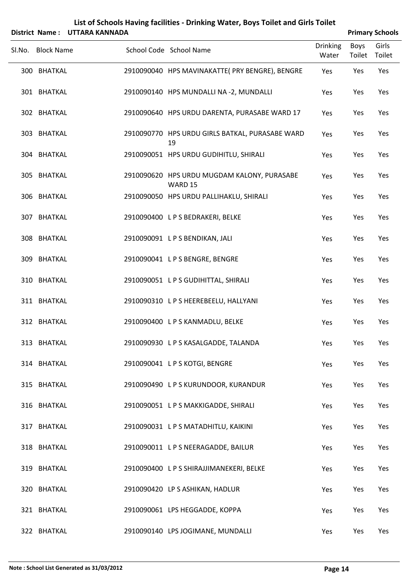|        |                   | District Name: UTTARA KANNADA |                                                        |                          |                | <b>Primary Schools</b> |
|--------|-------------------|-------------------------------|--------------------------------------------------------|--------------------------|----------------|------------------------|
| Sl.No. | <b>Block Name</b> |                               | School Code School Name                                | <b>Drinking</b><br>Water | Boys<br>Toilet | Girls<br>Toilet        |
|        | 300 BHATKAL       |                               | 2910090040 HPS MAVINAKATTE( PRY BENGRE), BENGRE        | Yes                      | Yes            | Yes                    |
|        | 301 BHATKAL       |                               | 2910090140 HPS MUNDALLI NA -2, MUNDALLI                | Yes                      | Yes            | Yes                    |
|        | 302 BHATKAL       |                               | 2910090640 HPS URDU DARENTA, PURASABE WARD 17          | Yes                      | Yes            | Yes                    |
|        | 303 BHATKAL       |                               | 2910090770 HPS URDU GIRLS BATKAL, PURASABE WARD<br>19  | Yes                      | Yes            | Yes                    |
|        | 304 BHATKAL       |                               | 2910090051 HPS URDU GUDIHITLU, SHIRALI                 | Yes                      | Yes            | Yes                    |
|        | 305 BHATKAL       |                               | 2910090620 HPS URDU MUGDAM KALONY, PURASABE<br>WARD 15 | Yes                      | Yes            | Yes                    |
|        | 306 BHATKAL       |                               | 2910090050 HPS URDU PALLIHAKLU, SHIRALI                | Yes                      | Yes            | Yes                    |
|        | 307 BHATKAL       |                               | 2910090400 LPS BEDRAKERI, BELKE                        | Yes                      | Yes            | Yes                    |
|        | 308 BHATKAL       |                               | 2910090091 LPS BENDIKAN, JALI                          | Yes                      | Yes            | Yes                    |
|        | 309 BHATKAL       |                               | 2910090041 L P S BENGRE, BENGRE                        | Yes                      | Yes            | Yes                    |
|        | 310 BHATKAL       |                               | 2910090051 LPS GUDIHITTAL, SHIRALI                     | Yes                      | Yes            | Yes                    |
|        | 311 BHATKAL       |                               | 2910090310 LPS HEEREBEELU, HALLYANI                    | Yes                      | Yes            | Yes                    |
|        | 312 BHATKAL       |                               | 2910090400 L P S KANMADLU, BELKE                       | Yes                      | Yes            | Yes                    |
|        | 313 BHATKAL       |                               | 2910090930 LPS KASALGADDE, TALANDA                     | Yes                      | Yes            | Yes                    |
|        | 314 BHATKAL       |                               | 2910090041 LPS KOTGI, BENGRE                           | Yes                      | Yes            | Yes                    |
|        | 315 BHATKAL       |                               | 2910090490 L P S KURUNDOOR, KURANDUR                   | Yes                      | Yes            | Yes                    |
|        | 316 BHATKAL       |                               | 2910090051 LPS MAKKIGADDE, SHIRALI                     | Yes                      | Yes            | Yes                    |
|        | 317 BHATKAL       |                               | 2910090031 LPS MATADHITLU, KAIKINI                     | Yes                      | Yes            | Yes                    |
|        | 318 BHATKAL       |                               | 2910090011 LPS NEERAGADDE, BAILUR                      | Yes                      | Yes            | Yes                    |
|        | 319 BHATKAL       |                               | 2910090400 L P S SHIRAJJIMANEKERI, BELKE               | Yes                      | Yes            | Yes                    |
|        | 320 BHATKAL       |                               | 2910090420 LP S ASHIKAN, HADLUR                        | Yes                      | Yes            | Yes                    |
|        | 321 BHATKAL       |                               | 2910090061 LPS HEGGADDE, KOPPA                         | Yes                      | Yes            | Yes                    |
|        | 322 BHATKAL       |                               | 2910090140 LPS JOGIMANE, MUNDALLI                      | Yes                      | Yes            | Yes                    |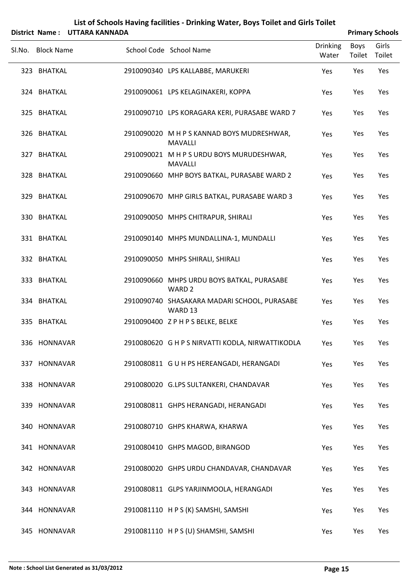|        |              | District Name: UTTARA KANNADA |                                                                 |                          |                | <b>Primary Schools</b> |
|--------|--------------|-------------------------------|-----------------------------------------------------------------|--------------------------|----------------|------------------------|
| Sl.No. | Block Name   |                               | School Code School Name                                         | <b>Drinking</b><br>Water | Boys<br>Toilet | Girls<br>Toilet        |
|        | 323 BHATKAL  |                               | 2910090340 LPS KALLABBE, MARUKERI                               | Yes                      | Yes            | Yes                    |
|        | 324 BHATKAL  |                               | 2910090061 LPS KELAGINAKERI, KOPPA                              | Yes                      | Yes            | Yes                    |
|        | 325 BHATKAL  |                               | 2910090710 LPS KORAGARA KERI, PURASABE WARD 7                   | Yes                      | Yes            | Yes                    |
|        | 326 BHATKAL  |                               | 2910090020 M H P S KANNAD BOYS MUDRESHWAR,<br><b>MAVALLI</b>    | Yes                      | Yes            | Yes                    |
|        | 327 BHATKAL  |                               | 2910090021 M H P S URDU BOYS MURUDESHWAR,<br><b>MAVALLI</b>     | Yes                      | Yes            | Yes                    |
|        | 328 BHATKAL  |                               | 2910090660 MHP BOYS BATKAL, PURASABE WARD 2                     | Yes                      | Yes            | Yes                    |
|        | 329 BHATKAL  |                               | 2910090670 MHP GIRLS BATKAL, PURASABE WARD 3                    | Yes                      | Yes            | Yes                    |
|        | 330 BHATKAL  |                               | 2910090050 MHPS CHITRAPUR, SHIRALI                              | Yes                      | Yes            | Yes                    |
|        | 331 BHATKAL  |                               | 2910090140 MHPS MUNDALLINA-1, MUNDALLI                          | Yes                      | Yes            | Yes                    |
|        | 332 BHATKAL  |                               | 2910090050 MHPS SHIRALI, SHIRALI                                | Yes                      | Yes            | Yes                    |
|        | 333 BHATKAL  |                               | 2910090660 MHPS URDU BOYS BATKAL, PURASABE<br>WARD <sub>2</sub> | Yes                      | Yes            | Yes                    |
|        | 334 BHATKAL  |                               | 2910090740 SHASAKARA MADARI SCHOOL, PURASABE<br>WARD 13         | Yes                      | Yes            | Yes                    |
|        | 335 BHATKAL  |                               | 2910090400 ZPHPSBELKE, BELKE                                    | Yes                      | Yes            | Yes                    |
|        | 336 HONNAVAR |                               | 2910080620 G H P S NIRVATTI KODLA, NIRWATTIKODLA                | Yes                      | Yes            | Yes                    |
|        | 337 HONNAVAR |                               | 2910080811 G U H PS HEREANGADI, HERANGADI                       | Yes                      | Yes            | Yes                    |
|        | 338 HONNAVAR |                               | 2910080020 G.LPS SULTANKERI, CHANDAVAR                          | Yes                      | Yes            | Yes                    |
|        | 339 HONNAVAR |                               | 2910080811 GHPS HERANGADI, HERANGADI                            | Yes                      | Yes            | Yes                    |
|        | 340 HONNAVAR |                               | 2910080710 GHPS KHARWA, KHARWA                                  | Yes                      | Yes            | Yes                    |
|        | 341 HONNAVAR |                               | 2910080410 GHPS MAGOD, BIRANGOD                                 | Yes                      | Yes            | Yes                    |
|        | 342 HONNAVAR |                               | 2910080020 GHPS URDU CHANDAVAR, CHANDAVAR                       | Yes                      | Yes            | Yes                    |
|        | 343 HONNAVAR |                               | 2910080811 GLPS YARJINMOOLA, HERANGADI                          | Yes                      | Yes            | Yes                    |
|        | 344 HONNAVAR |                               | 2910081110 H P S (K) SAMSHI, SAMSHI                             | Yes                      | Yes            | Yes                    |
|        | 345 HONNAVAR |                               | 2910081110 H P S (U) SHAMSHI, SAMSHI                            | Yes                      | Yes            | Yes                    |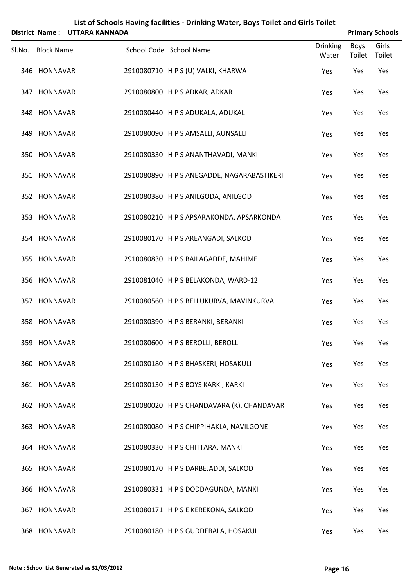|        |                   | District Name: UTTARA KANNADA |                                            |                          |                | <b>Primary Schools</b> |
|--------|-------------------|-------------------------------|--------------------------------------------|--------------------------|----------------|------------------------|
| SI.No. | <b>Block Name</b> |                               | School Code School Name                    | <b>Drinking</b><br>Water | Boys<br>Toilet | Girls<br>Toilet        |
|        | 346 HONNAVAR      |                               | 2910080710 H P S (U) VALKI, KHARWA         | Yes                      | Yes            | Yes                    |
|        | 347 HONNAVAR      |                               | 2910080800 H P S ADKAR, ADKAR              | Yes                      | Yes            | Yes                    |
|        | 348 HONNAVAR      |                               | 2910080440 H P S ADUKALA, ADUKAL           | Yes                      | Yes            | Yes                    |
|        | 349 HONNAVAR      |                               | 2910080090 H P S AMSALLI, AUNSALLI         | Yes                      | Yes            | Yes                    |
|        | 350 HONNAVAR      |                               | 2910080330 H P S ANANTHAVADI, MANKI        | Yes                      | Yes            | Yes                    |
|        | 351 HONNAVAR      |                               | 2910080890 H P S ANEGADDE, NAGARABASTIKERI | Yes                      | Yes            | Yes                    |
|        | 352 HONNAVAR      |                               | 2910080380 HPS ANILGODA, ANILGOD           | Yes                      | Yes            | Yes                    |
|        | 353 HONNAVAR      |                               | 2910080210 H P S APSARAKONDA, APSARKONDA   | Yes                      | Yes            | Yes                    |
|        | 354 HONNAVAR      |                               | 2910080170 H P S AREANGADI, SALKOD         | Yes                      | Yes            | Yes                    |
|        | 355 HONNAVAR      |                               | 2910080830 H P S BAILAGADDE, MAHIME        | Yes                      | Yes            | Yes                    |
|        | 356 HONNAVAR      |                               | 2910081040 H P S BELAKONDA, WARD-12        | Yes                      | Yes            | Yes                    |
|        | 357 HONNAVAR      |                               | 2910080560 H P S BELLUKURVA, MAVINKURVA    | Yes                      | Yes            | Yes                    |
|        | 358 HONNAVAR      |                               | 2910080390 H P S BERANKI, BERANKI          | Yes                      | Yes            | Yes                    |
|        | 359 HONNAVAR      |                               | 2910080600 HPS BEROLLI, BEROLLI            | Yes                      | Yes            | Yes                    |
|        | 360 HONNAVAR      |                               | 2910080180 H P S BHASKERI, HOSAKULI        | Yes                      | Yes            | Yes                    |
|        | 361 HONNAVAR      |                               | 2910080130 H P S BOYS KARKI, KARKI         | Yes                      | Yes            | Yes                    |
|        | 362 HONNAVAR      |                               | 2910080020 H P S CHANDAVARA (K), CHANDAVAR | Yes                      | Yes            | Yes                    |
|        | 363 HONNAVAR      |                               | 2910080080 H P S CHIPPIHAKLA, NAVILGONE    | Yes                      | Yes            | Yes                    |
|        | 364 HONNAVAR      |                               | 2910080330 H P S CHITTARA, MANKI           | Yes                      | Yes            | Yes                    |
|        | 365 HONNAVAR      |                               | 2910080170 H P S DARBEJADDI, SALKOD        | Yes                      | Yes            | Yes                    |
|        | 366 HONNAVAR      |                               | 2910080331 H P S DODDAGUNDA, MANKI         | Yes                      | Yes            | Yes                    |
|        | 367 HONNAVAR      |                               | 2910080171 H P S E KEREKONA, SALKOD        | Yes                      | Yes            | Yes                    |
|        | 368 HONNAVAR      |                               | 2910080180 H P S GUDDEBALA, HOSAKULI       | Yes                      | Yes            | Yes                    |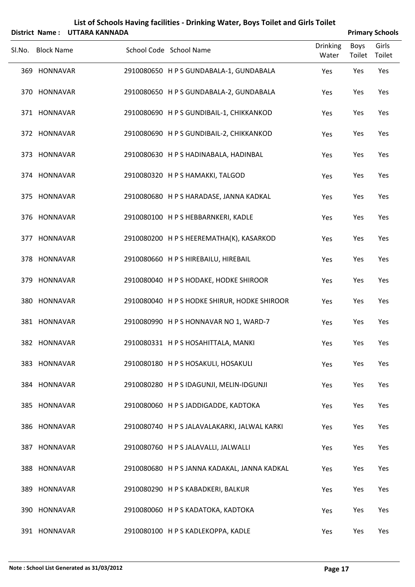|        | District Name:    | <b>UTTARA KANNADA</b> | List of Schools Having facilities - Drinking Water, Boys Toilet and Girls Toilet |                          |                | <b>Primary Schools</b> |
|--------|-------------------|-----------------------|----------------------------------------------------------------------------------|--------------------------|----------------|------------------------|
| SI.No. | <b>Block Name</b> |                       | School Code School Name                                                          | <b>Drinking</b><br>Water | Boys<br>Toilet | Girls<br>Toilet        |
|        | 369 HONNAVAR      |                       | 2910080650 H P S GUNDABALA-1, GUNDABALA                                          | Yes                      | Yes            | Yes                    |
|        | 370 HONNAVAR      |                       | 2910080650 H P S GUNDABALA-2, GUNDABALA                                          | Yes                      | Yes            | Yes                    |
|        | 371 HONNAVAR      |                       | 2910080690 H P S GUNDIBAIL-1, CHIKKANKOD                                         | Yes                      | Yes            | Yes                    |
|        | 372 HONNAVAR      |                       | 2910080690 H P S GUNDIBAIL-2, CHIKKANKOD                                         | Yes                      | Yes            | Yes                    |
|        | 373 HONNAVAR      |                       | 2910080630 H P S HADINABALA, HADINBAL                                            | Yes                      | Yes            | Yes                    |
|        | 374 HONNAVAR      |                       | 2910080320 HPS HAMAKKI, TALGOD                                                   | Yes                      | Yes            | Yes                    |
|        | 375 HONNAVAR      |                       | 2910080680 H P S HARADASE, JANNA KADKAL                                          | Yes                      | Yes            | Yes                    |
|        | 376 HONNAVAR      |                       | 2910080100 H P S HEBBARNKERI, KADLE                                              | Yes                      | Yes            | Yes                    |
|        | 377 HONNAVAR      |                       | 2910080200 H P S HEEREMATHA(K), KASARKOD                                         | Yes                      | Yes            | Yes                    |
|        | 378 HONNAVAR      |                       | 2910080660 H P S HIREBAILU, HIREBAIL                                             | Yes                      | Yes            | Yes                    |
|        | 379 HONNAVAR      |                       | 2910080040 H P S HODAKE, HODKE SHIROOR                                           | Yes                      | Yes            | Yes                    |
|        | 380 HONNAVAR      |                       | 2910080040 H P S HODKE SHIRUR, HODKE SHIROOR                                     | Yes                      | Yes            | Yes                    |
|        | 381 HONNAVAR      |                       | 2910080990 H P S HONNAVAR NO 1, WARD-7                                           | Yes                      | Yes            | Yes                    |
|        | 382 HONNAVAR      |                       | 2910080331 H P S HOSAHITTALA, MANKI                                              | Yes                      | Yes            | Yes                    |
|        | 383 HONNAVAR      |                       | 2910080180 H P S HOSAKULI, HOSAKULI                                              | Yes                      | Yes            | Yes                    |
|        | 384 HONNAVAR      |                       | 2910080280 H P S IDAGUNJI, MELIN-IDGUNJI                                         | Yes                      | Yes            | Yes                    |
|        | 385 HONNAVAR      |                       | 2910080060 H P S JADDIGADDE, KADTOKA                                             | Yes                      | Yes            | Yes                    |
|        | 386 HONNAVAR      |                       | 2910080740 H P S JALAVALAKARKI, JALWAL KARKI                                     | Yes                      | Yes            | Yes                    |
|        | 387 HONNAVAR      |                       | 2910080760 H P S JALAVALLI, JALWALLI                                             | Yes                      | Yes            | Yes                    |
|        | 388 HONNAVAR      |                       | 2910080680 H P S JANNA KADAKAL, JANNA KADKAL                                     | Yes                      | Yes            | Yes                    |
|        | 389 HONNAVAR      |                       | 2910080290 H P S KABADKERI, BALKUR                                               | Yes                      | Yes            | Yes                    |
|        | 390 HONNAVAR      |                       | 2910080060 H P S KADATOKA, KADTOKA                                               | Yes                      | Yes            | Yes                    |
|        | 391 HONNAVAR      |                       | 2910080100 H P S KADLEKOPPA, KADLE                                               | Yes                      | Yes            | Yes                    |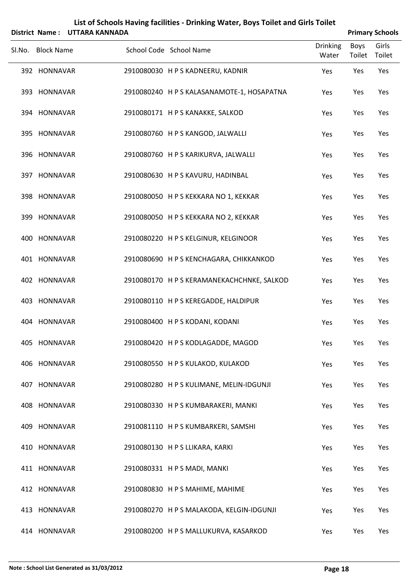|                   | District Name: UTTARA KANNADA |                                            |                          |                | <b>Primary Schools</b> |
|-------------------|-------------------------------|--------------------------------------------|--------------------------|----------------|------------------------|
| Sl.No. Block Name |                               | School Code School Name                    | <b>Drinking</b><br>Water | Boys<br>Toilet | Girls<br>Toilet        |
| 392 HONNAVAR      |                               | 2910080030 H P S KADNEERU, KADNIR          | Yes                      | Yes            | Yes                    |
| 393 HONNAVAR      |                               | 2910080240 H P S KALASANAMOTE-1, HOSAPATNA | Yes                      | Yes            | Yes                    |
| 394 HONNAVAR      |                               | 2910080171 HPS KANAKKE, SALKOD             | Yes                      | Yes            | Yes                    |
| 395 HONNAVAR      |                               | 2910080760 H P S KANGOD, JALWALLI          | Yes                      | Yes            | Yes                    |
| 396 HONNAVAR      |                               | 2910080760 H P S KARIKURVA, JALWALLI       | Yes                      | Yes            | Yes                    |
| 397 HONNAVAR      |                               | 2910080630 H P S KAVURU, HADINBAL          | Yes                      | Yes            | Yes                    |
| 398 HONNAVAR      |                               | 2910080050 H P S KEKKARA NO 1, KEKKAR      | Yes                      | Yes            | Yes                    |
| 399 HONNAVAR      |                               | 2910080050 H P S KEKKARA NO 2, KEKKAR      | Yes                      | Yes            | Yes                    |
| 400 HONNAVAR      |                               | 2910080220 HPS KELGINUR, KELGINOOR         | Yes                      | Yes            | Yes                    |
| 401 HONNAVAR      |                               | 2910080690 H P S KENCHAGARA, CHIKKANKOD    | Yes                      | Yes            | Yes                    |
| 402 HONNAVAR      |                               | 2910080170 H P S KERAMANEKACHCHNKE, SALKOD | Yes                      | Yes            | Yes                    |
| 403 HONNAVAR      |                               | 2910080110 HPS KEREGADDE, HALDIPUR         | Yes                      | Yes            | Yes                    |
| 404 HONNAVAR      |                               | 2910080400 H P S KODANI, KODANI            | Yes                      | Yes            | Yes                    |
| 405 HONNAVAR      |                               | 2910080420 HPS KODLAGADDE, MAGOD           | Yes                      | Yes            | Yes                    |
| 406 HONNAVAR      |                               | 2910080550 H P S KULAKOD, KULAKOD          | Yes                      | Yes            | Yes                    |
| 407 HONNAVAR      |                               | 2910080280 H P S KULIMANE, MELIN-IDGUNJI   | Yes                      | Yes            | Yes                    |
| 408 HONNAVAR      |                               | 2910080330 H P S KUMBARAKERI, MANKI        | Yes                      | Yes            | Yes                    |
| 409 HONNAVAR      |                               | 2910081110 HPS KUMBARKERI, SAMSHI          | Yes                      | Yes            | Yes                    |
| 410 HONNAVAR      |                               | 2910080130 H P S LLIKARA, KARKI            | Yes                      | Yes            | Yes                    |
| 411 HONNAVAR      |                               | 2910080331 H P S MADI, MANKI               | Yes                      | Yes            | Yes                    |
| 412 HONNAVAR      |                               | 2910080830 H P S MAHIME, MAHIME            | Yes                      | Yes            | Yes                    |
| 413 HONNAVAR      |                               | 2910080270 H P S MALAKODA, KELGIN-IDGUNJI  | Yes                      | Yes            | Yes                    |
| 414 HONNAVAR      |                               | 2910080200 H P S MALLUKURVA, KASARKOD      | Yes                      | Yes            | Yes                    |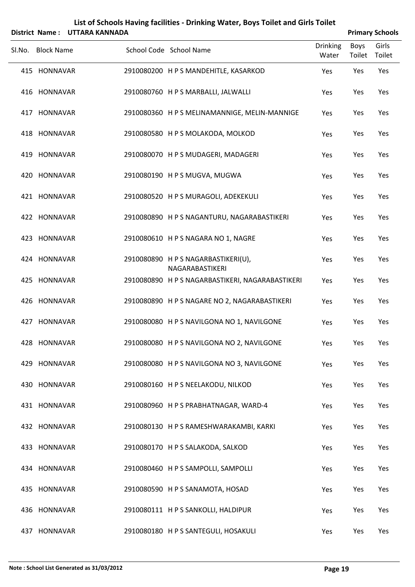|        | District Name:    | <b>UTTARA KANNADA</b> | List of Schools Having facilities - Drinking Water, Boys Toilet and Girls Toilet |                          |                       | <b>Primary Schools</b> |
|--------|-------------------|-----------------------|----------------------------------------------------------------------------------|--------------------------|-----------------------|------------------------|
| Sl.No. | <b>Block Name</b> |                       | School Code School Name                                                          | <b>Drinking</b><br>Water | <b>Boys</b><br>Toilet | Girls<br>Toilet        |
|        | 415 HONNAVAR      |                       | 2910080200 HPS MANDEHITLE, KASARKOD                                              | Yes                      | Yes                   | Yes                    |
|        | 416 HONNAVAR      |                       | 2910080760 H P S MARBALLI, JALWALLI                                              | Yes                      | Yes                   | Yes                    |
|        | 417 HONNAVAR      |                       | 2910080360 H P S MELINAMANNIGE, MELIN-MANNIGE                                    | Yes                      | Yes                   | Yes                    |
|        | 418 HONNAVAR      |                       | 2910080580 H P S MOLAKODA, MOLKOD                                                | Yes                      | Yes                   | Yes                    |
|        | 419 HONNAVAR      |                       | 2910080070 HPS MUDAGERI, MADAGERI                                                | Yes                      | Yes                   | Yes                    |
|        | 420 HONNAVAR      |                       | 2910080190 H P S MUGVA, MUGWA                                                    | Yes                      | Yes                   | Yes                    |
|        | 421 HONNAVAR      |                       | 2910080520 H P S MURAGOLI, ADEKEKULI                                             | Yes                      | Yes                   | Yes                    |
|        | 422 HONNAVAR      |                       | 2910080890 H P S NAGANTURU, NAGARABASTIKERI                                      | Yes                      | Yes                   | Yes                    |
|        | 423 HONNAVAR      |                       | 2910080610 H P S NAGARA NO 1, NAGRE                                              | Yes                      | Yes                   | Yes                    |
|        | 424 HONNAVAR      |                       | 2910080890 HPS NAGARBASTIKERI(U),<br>NAGARABASTIKERI                             | Yes                      | Yes                   | Yes                    |
|        | 425 HONNAVAR      |                       | 2910080890 H P S NAGARBASTIKERI, NAGARABASTIKERI                                 | Yes                      | Yes                   | Yes                    |
|        | 426 HONNAVAR      |                       | 2910080890 H P S NAGARE NO 2, NAGARABASTIKERI                                    | Yes                      | Yes                   | Yes                    |
|        | 427 HONNAVAR      |                       | 2910080080 HPS NAVILGONA NO 1, NAVILGONE                                         | Yes                      | Yes                   | Yes                    |
|        | 428 HONNAVAR      |                       | 2910080080 H P S NAVILGONA NO 2, NAVILGONE                                       | Yes                      | Yes                   | Yes                    |
|        | 429 HONNAVAR      |                       | 2910080080 H P S NAVILGONA NO 3, NAVILGONE                                       | Yes                      | Yes                   | Yes                    |
|        | 430 HONNAVAR      |                       | 2910080160 H P S NEELAKODU, NILKOD                                               | Yes                      | Yes                   | Yes                    |
|        | 431 HONNAVAR      |                       | 2910080960 HPS PRABHATNAGAR, WARD-4                                              | Yes                      | Yes                   | Yes                    |
|        | 432 HONNAVAR      |                       | 2910080130 H P S RAMESHWARAKAMBI, KARKI                                          | Yes                      | Yes                   | Yes                    |
|        | 433 HONNAVAR      |                       | 2910080170 H P S SALAKODA, SALKOD                                                | Yes                      | Yes                   | Yes                    |
|        | 434 HONNAVAR      |                       | 2910080460 H P S SAMPOLLI, SAMPOLLI                                              | Yes                      | Yes                   | Yes                    |
|        | 435 HONNAVAR      |                       | 2910080590 H P S SANAMOTA, HOSAD                                                 | Yes                      | Yes                   | Yes                    |
|        | 436 HONNAVAR      |                       | 2910080111 H P S SANKOLLI, HALDIPUR                                              | Yes                      | Yes                   | Yes                    |
|        | 437 HONNAVAR      |                       | 2910080180 H P S SANTEGULI, HOSAKULI                                             | Yes                      | Yes                   | Yes                    |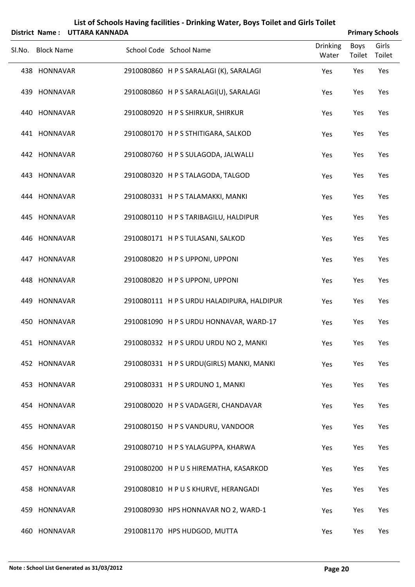|                   | District Name: UTTARA KANNADA |                                            |                          |                       | <b>Primary Schools</b> |
|-------------------|-------------------------------|--------------------------------------------|--------------------------|-----------------------|------------------------|
| Sl.No. Block Name |                               | School Code School Name                    | <b>Drinking</b><br>Water | <b>Boys</b><br>Toilet | Girls<br>Toilet        |
| 438 HONNAVAR      |                               | 2910080860 HPS SARALAGI (K), SARALAGI      | Yes                      | Yes                   | Yes                    |
| 439 HONNAVAR      |                               | 2910080860 H P S SARALAGI(U), SARALAGI     | Yes                      | Yes                   | Yes                    |
| 440 HONNAVAR      |                               | 2910080920 HPS SHIRKUR, SHIRKUR            | Yes                      | Yes                   | Yes                    |
| 441 HONNAVAR      |                               | 2910080170 H P S STHITIGARA, SALKOD        | Yes                      | Yes                   | Yes                    |
| 442 HONNAVAR      |                               | 2910080760 H P S SULAGODA, JALWALLI        | Yes                      | Yes                   | Yes                    |
| 443 HONNAVAR      |                               | 2910080320 HPS TALAGODA, TALGOD            | Yes                      | Yes                   | Yes                    |
| 444 HONNAVAR      |                               | 2910080331 H P S TALAMAKKI, MANKI          | Yes                      | Yes                   | Yes                    |
| 445 HONNAVAR      |                               | 2910080110 HPSTARIBAGILU, HALDIPUR         | Yes                      | Yes                   | Yes                    |
| 446 HONNAVAR      |                               | 2910080171 HPS TULASANI, SALKOD            | Yes                      | Yes                   | Yes                    |
| 447 HONNAVAR      |                               | 2910080820 HPS UPPONI, UPPONI              | Yes                      | Yes                   | Yes                    |
| 448 HONNAVAR      |                               | 2910080820 HPS UPPONI, UPPONI              | Yes                      | Yes                   | Yes                    |
| 449 HONNAVAR      |                               | 2910080111 H P S URDU HALADIPURA, HALDIPUR | Yes                      | Yes                   | Yes                    |
| 450 HONNAVAR      |                               | 2910081090 H P S URDU HONNAVAR, WARD-17    | Yes                      | Yes                   | Yes                    |
| 451 HONNAVAR      |                               | 2910080332 H P S URDU URDU NO 2, MANKI     | Yes                      | Yes                   | Yes                    |
| 452 HONNAVAR      |                               | 2910080331 HPS URDU(GIRLS) MANKI, MANKI    | Yes                      | Yes                   | Yes                    |
| 453 HONNAVAR      |                               | 2910080331 H P S URDUNO 1, MANKI           | Yes                      | Yes                   | Yes                    |
| 454 HONNAVAR      |                               | 2910080020 HPS VADAGERI, CHANDAVAR         | Yes                      | Yes                   | Yes                    |
| 455 HONNAVAR      |                               | 2910080150 H P S VANDURU, VANDOOR          | Yes                      | Yes                   | Yes                    |
| 456 HONNAVAR      |                               | 2910080710 H P S YALAGUPPA, KHARWA         | Yes                      | Yes                   | Yes                    |
| 457 HONNAVAR      |                               | 2910080200 HPUS HIREMATHA, KASARKOD        | Yes                      | Yes                   | Yes                    |
| 458 HONNAVAR      |                               | 2910080810 HPUS KHURVE, HERANGADI          | Yes                      | Yes                   | Yes                    |
| 459 HONNAVAR      |                               | 2910080930 HPS HONNAVAR NO 2, WARD-1       | Yes                      | Yes                   | Yes                    |
| 460 HONNAVAR      |                               | 2910081170 HPS HUDGOD, MUTTA               | Yes                      | Yes                   | Yes                    |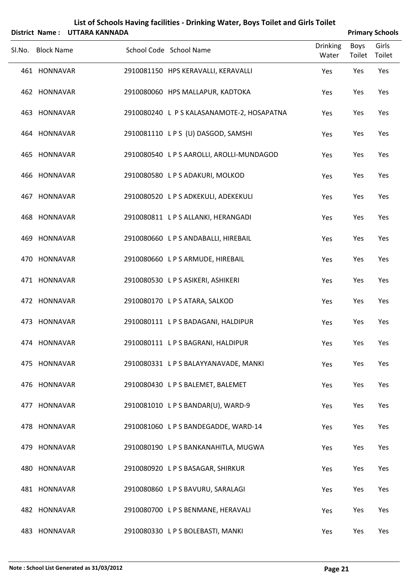|        | District Name:    | <b>UTTARA KANNADA</b> | List of Schools Having facilities - Drinking Water, Boys Toilet and Girls Toilet |                          |                | <b>Primary Schools</b> |
|--------|-------------------|-----------------------|----------------------------------------------------------------------------------|--------------------------|----------------|------------------------|
| Sl.No. | <b>Block Name</b> |                       | School Code School Name                                                          | <b>Drinking</b><br>Water | Boys<br>Toilet | Girls<br>Toilet        |
|        | 461 HONNAVAR      |                       | 2910081150 HPS KERAVALLI, KERAVALLI                                              | Yes                      | Yes            | Yes                    |
|        | 462 HONNAVAR      |                       | 2910080060 HPS MALLAPUR, KADTOKA                                                 | Yes                      | Yes            | Yes                    |
| 463    | HONNAVAR          |                       | 2910080240 L P S KALASANAMOTE-2, HOSAPATNA                                       | Yes                      | Yes            | Yes                    |
|        | 464 HONNAVAR      |                       | 2910081110 LPS (U) DASGOD, SAMSHI                                                | Yes                      | Yes            | Yes                    |
| 465    | HONNAVAR          |                       | 2910080540 L P S AAROLLI, AROLLI-MUNDAGOD                                        | Yes                      | Yes            | Yes                    |
|        | 466 HONNAVAR      |                       | 2910080580 LPS ADAKURI, MOLKOD                                                   | Yes                      | Yes            | Yes                    |
|        | 467 HONNAVAR      |                       | 2910080520 L P S ADKEKULI, ADEKEKULI                                             | Yes                      | Yes            | Yes                    |
|        | 468 HONNAVAR      |                       | 2910080811 LPS ALLANKI, HERANGADI                                                | Yes                      | Yes            | Yes                    |
| 469    | HONNAVAR          |                       | 2910080660 LPS ANDABALLI, HIREBAIL                                               | Yes                      | Yes            | Yes                    |
|        | 470 HONNAVAR      |                       | 2910080660 LPS ARMUDE, HIREBAIL                                                  | Yes                      | Yes            | Yes                    |
|        | 471 HONNAVAR      |                       | 2910080530 LPS ASIKERI, ASHIKERI                                                 | Yes                      | Yes            | Yes                    |
|        | 472 HONNAVAR      |                       | 2910080170 LPS ATARA, SALKOD                                                     | Yes                      | Yes            | Yes                    |
|        | 473 HONNAVAR      |                       | 2910080111 LPS BADAGANI, HALDIPUR                                                | Yes                      | Yes            | Yes                    |
|        | 474 HONNAVAR      |                       | 2910080111 LPS BAGRANI, HALDIPUR                                                 | Yes                      | Yes            | Yes                    |
|        | 475 HONNAVAR      |                       | 2910080331 LPS BALAYYANAVADE, MANKI                                              | Yes                      | Yes            | Yes                    |
|        | 476 HONNAVAR      |                       | 2910080430 LPS BALEMET, BALEMET                                                  | Yes                      | Yes            | Yes                    |
|        | 477 HONNAVAR      |                       | 2910081010 LPS BANDAR(U), WARD-9                                                 | Yes                      | Yes            | Yes                    |
|        | 478 HONNAVAR      |                       | 2910081060 LPS BANDEGADDE, WARD-14                                               | Yes                      | Yes            | Yes                    |
|        | 479 HONNAVAR      |                       | 2910080190 L P S BANKANAHITLA, MUGWA                                             | Yes                      | Yes            | Yes                    |
|        | 480 HONNAVAR      |                       | 2910080920 LPS BASAGAR, SHIRKUR                                                  | Yes                      | Yes            | Yes                    |
|        | 481 HONNAVAR      |                       | 2910080860 LPS BAVURU, SARALAGI                                                  | Yes                      | Yes            | Yes                    |
|        | 482 HONNAVAR      |                       | 2910080700 L P S BENMANE, HERAVALI                                               | Yes                      | Yes            | Yes                    |
|        | 483 HONNAVAR      |                       | 2910080330 LPS BOLEBASTI, MANKI                                                  | Yes                      | Yes            | Yes                    |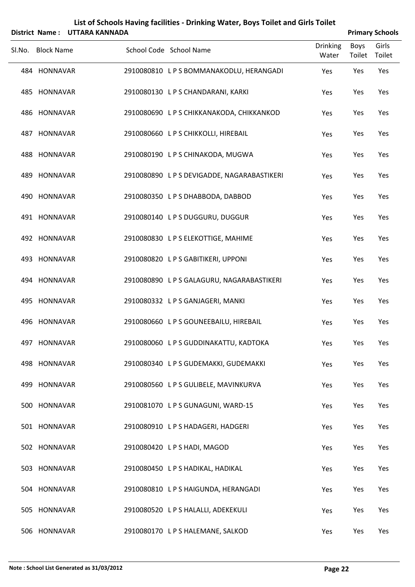| List of Schools Having facilities - Drinking Water, Boys Toilet and Girls Toilet<br><b>UTTARA KANNADA</b><br><b>Primary Schools</b><br>District Name: |                   |  |  |                                             |                          |                |                 |  |  |
|-------------------------------------------------------------------------------------------------------------------------------------------------------|-------------------|--|--|---------------------------------------------|--------------------------|----------------|-----------------|--|--|
| Sl.No.                                                                                                                                                | <b>Block Name</b> |  |  | School Code School Name                     | <b>Drinking</b><br>Water | Boys<br>Toilet | Girls<br>Toilet |  |  |
|                                                                                                                                                       | 484 HONNAVAR      |  |  | 2910080810 LPS BOMMANAKODLU, HERANGADI      | Yes                      | Yes            | Yes             |  |  |
|                                                                                                                                                       | 485 HONNAVAR      |  |  | 2910080130 LPS CHANDARANI, KARKI            | Yes                      | Yes            | Yes             |  |  |
|                                                                                                                                                       | 486 HONNAVAR      |  |  | 2910080690 L P S CHIKKANAKODA, CHIKKANKOD   | Yes                      | Yes            | Yes             |  |  |
|                                                                                                                                                       | 487 HONNAVAR      |  |  | 2910080660 L P S CHIKKOLLI, HIREBAIL        | Yes                      | Yes            | Yes             |  |  |
|                                                                                                                                                       | 488 HONNAVAR      |  |  | 2910080190 LPS CHINAKODA, MUGWA             | Yes                      | Yes            | Yes             |  |  |
|                                                                                                                                                       | 489 HONNAVAR      |  |  | 2910080890 L P S DEVIGADDE, NAGARABASTIKERI | Yes                      | Yes            | Yes             |  |  |
|                                                                                                                                                       | 490 HONNAVAR      |  |  | 2910080350 LPSDHABBODA, DABBOD              | Yes                      | Yes            | Yes             |  |  |
|                                                                                                                                                       | 491 HONNAVAR      |  |  | 2910080140 LPS DUGGURU, DUGGUR              | Yes                      | Yes            | Yes             |  |  |
|                                                                                                                                                       | 492 HONNAVAR      |  |  | 2910080830 LPS ELEKOTTIGE, MAHIME           | Yes                      | Yes            | Yes             |  |  |
|                                                                                                                                                       | 493 HONNAVAR      |  |  | 2910080820 LPS GABITIKERI, UPPONI           | Yes                      | Yes            | Yes             |  |  |
|                                                                                                                                                       | 494 HONNAVAR      |  |  | 2910080890 L P S GALAGURU, NAGARABASTIKERI  | Yes                      | Yes            | Yes             |  |  |
|                                                                                                                                                       | 495 HONNAVAR      |  |  | 2910080332 LPS GANJAGERI, MANKI             | Yes                      | Yes            | Yes             |  |  |
|                                                                                                                                                       | 496 HONNAVAR      |  |  | 2910080660 LPS GOUNEEBAILU, HIREBAIL        | Yes                      | Yes            | Yes             |  |  |
|                                                                                                                                                       | 497 HONNAVAR      |  |  | 2910080060 L P S GUDDINAKATTU, KADTOKA      | Yes                      | Yes            | Yes             |  |  |
|                                                                                                                                                       | 498 HONNAVAR      |  |  | 2910080340 L P S GUDEMAKKI, GUDEMAKKI       | Yes                      | Yes            | Yes             |  |  |
|                                                                                                                                                       | 499 HONNAVAR      |  |  | 2910080560 LPS GULIBELE, MAVINKURVA         | Yes                      | Yes            | Yes             |  |  |
|                                                                                                                                                       | 500 HONNAVAR      |  |  | 2910081070 LPS GUNAGUNI, WARD-15            | Yes                      | Yes            | Yes             |  |  |
|                                                                                                                                                       | 501 HONNAVAR      |  |  | 2910080910 LPS HADAGERI, HADGERI            | Yes                      | Yes            | Yes             |  |  |
|                                                                                                                                                       | 502 HONNAVAR      |  |  | 2910080420 LPS HADI, MAGOD                  | Yes                      | Yes            | Yes             |  |  |
|                                                                                                                                                       | 503 HONNAVAR      |  |  | 2910080450 L P S HADIKAL, HADIKAL           | Yes                      | Yes            | Yes             |  |  |
|                                                                                                                                                       | 504 HONNAVAR      |  |  | 2910080810 LPS HAIGUNDA, HERANGADI          | Yes                      | Yes            | Yes             |  |  |
|                                                                                                                                                       | 505 HONNAVAR      |  |  | 2910080520 L P S HALALLI, ADEKEKULI         | Yes                      | Yes            | Yes             |  |  |
|                                                                                                                                                       | 506 HONNAVAR      |  |  | 2910080170 L P S HALEMANE, SALKOD           | Yes                      | Yes            | Yes             |  |  |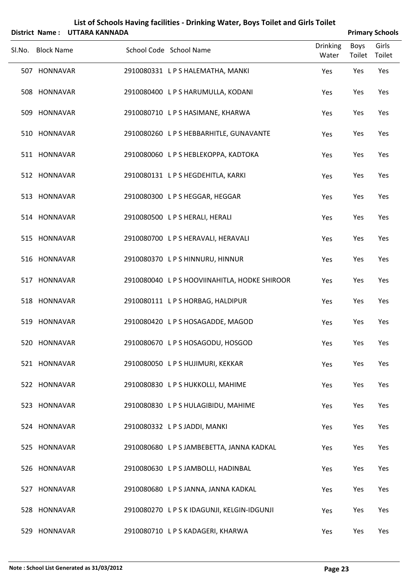|                   | District Name: UTTARA KANNADA |  |                                               |                          |                       | <b>Primary Schools</b> |
|-------------------|-------------------------------|--|-----------------------------------------------|--------------------------|-----------------------|------------------------|
| Sl.No. Block Name |                               |  | School Code School Name                       | <b>Drinking</b><br>Water | <b>Boys</b><br>Toilet | Girls<br>Toilet        |
| 507 HONNAVAR      |                               |  | 2910080331 LPS HALEMATHA, MANKI               | Yes                      | Yes                   | Yes                    |
| 508 HONNAVAR      |                               |  | 2910080400 L P S HARUMULLA, KODANI            | Yes                      | Yes                   | Yes                    |
| 509 HONNAVAR      |                               |  | 2910080710 LPS HASIMANE, KHARWA               | Yes                      | Yes                   | Yes                    |
| 510 HONNAVAR      |                               |  | 2910080260 LPS HEBBARHITLE, GUNAVANTE         | Yes                      | Yes                   | Yes                    |
| 511 HONNAVAR      |                               |  | 2910080060 L P S HEBLEKOPPA, KADTOKA          | Yes                      | Yes                   | Yes                    |
| 512 HONNAVAR      |                               |  | 2910080131 LPS HEGDEHITLA, KARKI              | Yes                      | Yes                   | Yes                    |
| 513 HONNAVAR      |                               |  | 2910080300 LPS HEGGAR, HEGGAR                 | Yes                      | Yes                   | Yes                    |
| 514 HONNAVAR      |                               |  | 2910080500 L P S HERALI, HERALI               | Yes                      | Yes                   | Yes                    |
| 515 HONNAVAR      |                               |  | 2910080700 LPS HERAVALI, HERAVALI             | Yes                      | Yes                   | Yes                    |
| 516 HONNAVAR      |                               |  | 2910080370 LPS HINNURU, HINNUR                | Yes                      | Yes                   | Yes                    |
| 517 HONNAVAR      |                               |  | 2910080040 L P S HOOVIINAHITLA, HODKE SHIROOR | Yes                      | Yes                   | Yes                    |
| 518 HONNAVAR      |                               |  | 2910080111 LPS HORBAG, HALDIPUR               | Yes                      | Yes                   | Yes                    |
| 519 HONNAVAR      |                               |  | 2910080420 LPS HOSAGADDE, MAGOD               | Yes                      | Yes                   | Yes                    |
| 520 HONNAVAR      |                               |  | 2910080670 LPS HOSAGODU, HOSGOD               | Yes                      | Yes                   | Yes                    |
| 521 HONNAVAR      |                               |  | 2910080050 LPS HUJIMURI, KEKKAR               | Yes                      | Yes                   | Yes                    |
| 522 HONNAVAR      |                               |  | 2910080830 LPS HUKKOLLI, MAHIME               | Yes                      | Yes                   | Yes                    |
| 523 HONNAVAR      |                               |  | 2910080830 LPS HULAGIBIDU, MAHIME             | Yes                      | Yes                   | Yes                    |
| 524 HONNAVAR      |                               |  | 2910080332 LPS JADDI, MANKI                   | Yes                      | Yes                   | Yes                    |
| 525 HONNAVAR      |                               |  | 2910080680 L P S JAMBEBETTA, JANNA KADKAL     | Yes                      | Yes                   | Yes                    |
| 526 HONNAVAR      |                               |  | 2910080630 LPS JAMBOLLI, HADINBAL             | Yes                      | Yes                   | Yes                    |
| 527 HONNAVAR      |                               |  | 2910080680 LPS JANNA, JANNA KADKAL            | Yes                      | Yes                   | Yes                    |
| 528 HONNAVAR      |                               |  | 2910080270 LPSKIDAGUNJI, KELGIN-IDGUNJI       | Yes                      | Yes                   | Yes                    |
| 529 HONNAVAR      |                               |  | 2910080710 LPS KADAGERI, KHARWA               | Yes                      | Yes                   | Yes                    |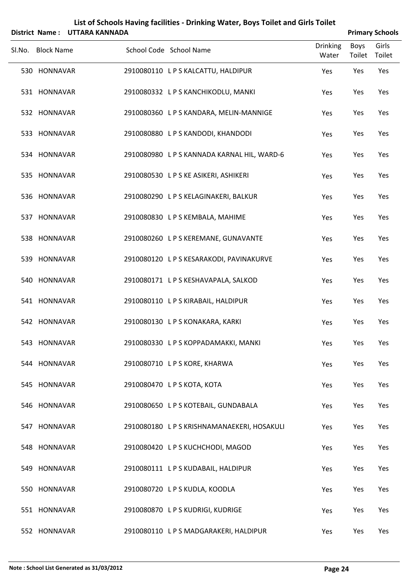|        |                   | District Name: UTTARA KANNADA |                                             |                          |                | <b>Primary Schools</b> |
|--------|-------------------|-------------------------------|---------------------------------------------|--------------------------|----------------|------------------------|
| SI.No. | <b>Block Name</b> |                               | School Code School Name                     | <b>Drinking</b><br>Water | Boys<br>Toilet | Girls<br>Toilet        |
|        | 530 HONNAVAR      |                               | 2910080110 LPS KALCATTU, HALDIPUR           | Yes                      | Yes            | Yes                    |
|        | 531 HONNAVAR      |                               | 2910080332 LPS KANCHIKODLU, MANKI           | Yes                      | Yes            | Yes                    |
|        | 532 HONNAVAR      |                               | 2910080360 LPS KANDARA, MELIN-MANNIGE       | Yes                      | Yes            | Yes                    |
|        | 533 HONNAVAR      |                               | 2910080880 LPS KANDODI, KHANDODI            | Yes                      | Yes            | Yes                    |
|        | 534 HONNAVAR      |                               | 2910080980 L P S KANNADA KARNAL HIL, WARD-6 | Yes                      | Yes            | Yes                    |
|        | 535 HONNAVAR      |                               | 2910080530 LPS KE ASIKERI, ASHIKERI         | Yes                      | Yes            | Yes                    |
|        | 536 HONNAVAR      |                               | 2910080290 LPS KELAGINAKERI, BALKUR         | Yes                      | Yes            | Yes                    |
|        | 537 HONNAVAR      |                               | 2910080830 LPS KEMBALA, MAHIME              | Yes                      | Yes            | Yes                    |
|        | 538 HONNAVAR      |                               | 2910080260 LPS KEREMANE, GUNAVANTE          | Yes                      | Yes            | Yes                    |
|        | 539 HONNAVAR      |                               | 2910080120 LPS KESARAKODI, PAVINAKURVE      | Yes                      | Yes            | Yes                    |
|        | 540 HONNAVAR      |                               | 2910080171 LPS KESHAVAPALA, SALKOD          | Yes                      | Yes            | Yes                    |
|        | 541 HONNAVAR      |                               | 2910080110 LPS KIRABAIL, HALDIPUR           | Yes                      | Yes            | Yes                    |
|        | 542 HONNAVAR      |                               | 2910080130 LPS KONAKARA, KARKI              | Yes                      | Yes            | Yes                    |
|        | 543 HONNAVAR      |                               | 2910080330 LPS KOPPADAMAKKI, MANKI          | Yes                      | Yes            | Yes                    |
|        | 544 HONNAVAR      |                               | 2910080710 L P S KORE, KHARWA               | Yes                      | Yes            | Yes                    |
|        | 545 HONNAVAR      |                               | 2910080470 LPS KOTA, KOTA                   | Yes                      | Yes            | Yes                    |
|        | 546 HONNAVAR      |                               | 2910080650 LPS KOTEBAIL, GUNDABALA          | Yes                      | Yes            | Yes                    |
|        | 547 HONNAVAR      |                               | 2910080180 L P S KRISHNAMANAEKERI, HOSAKULI | Yes                      | Yes            | Yes                    |
|        | 548 HONNAVAR      |                               | 2910080420 LPS KUCHCHODI, MAGOD             | Yes                      | Yes            | Yes                    |
|        | 549 HONNAVAR      |                               | 2910080111 LPS KUDABAIL, HALDIPUR           | Yes                      | Yes            | Yes                    |
|        | 550 HONNAVAR      |                               | 2910080720 L P S KUDLA, KOODLA              | Yes                      | Yes            | Yes                    |
|        | 551 HONNAVAR      |                               | 2910080870 LPS KUDRIGI, KUDRIGE             | Yes                      | Yes            | Yes                    |
|        | 552 HONNAVAR      |                               | 2910080110 LPS MADGARAKERI, HALDIPUR        | Yes                      | Yes            | Yes                    |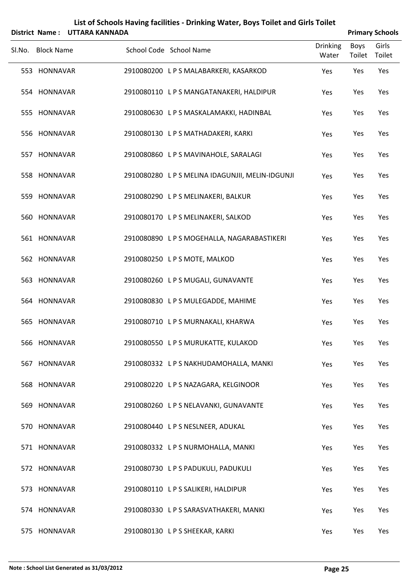| List of Schools Having facilities - Drinking Water, Boys Toilet and Girls Toilet<br><b>UTTARA KANNADA</b><br><b>Primary Schools</b><br>District Name: |                   |  |  |                                                |                          |                |                 |
|-------------------------------------------------------------------------------------------------------------------------------------------------------|-------------------|--|--|------------------------------------------------|--------------------------|----------------|-----------------|
| Sl.No.                                                                                                                                                | <b>Block Name</b> |  |  | School Code School Name                        | <b>Drinking</b><br>Water | Boys<br>Toilet | Girls<br>Toilet |
|                                                                                                                                                       | 553 HONNAVAR      |  |  | 2910080200 LPS MALABARKERI, KASARKOD           | Yes                      | Yes            | Yes             |
|                                                                                                                                                       | 554 HONNAVAR      |  |  | 2910080110 LPS MANGATANAKERI, HALDIPUR         | Yes                      | Yes            | Yes             |
|                                                                                                                                                       | 555 HONNAVAR      |  |  | 2910080630 LPS MASKALAMAKKI, HADINBAL          | Yes                      | Yes            | Yes             |
|                                                                                                                                                       | 556 HONNAVAR      |  |  | 2910080130 LPS MATHADAKERI, KARKI              | Yes                      | Yes            | Yes             |
|                                                                                                                                                       | 557 HONNAVAR      |  |  | 2910080860 LPS MAVINAHOLE, SARALAGI            | Yes                      | Yes            | Yes             |
|                                                                                                                                                       | 558 HONNAVAR      |  |  | 2910080280 LPS MELINA IDAGUNJII, MELIN-IDGUNJI | Yes                      | Yes            | Yes             |
|                                                                                                                                                       | 559 HONNAVAR      |  |  | 2910080290 LPS MELINAKERI, BALKUR              | Yes                      | Yes            | Yes             |
|                                                                                                                                                       | 560 HONNAVAR      |  |  | 2910080170 LPS MELINAKERI, SALKOD              | Yes                      | Yes            | Yes             |
|                                                                                                                                                       | 561 HONNAVAR      |  |  | 2910080890 LPS MOGEHALLA, NAGARABASTIKERI      | Yes                      | Yes            | Yes             |
|                                                                                                                                                       | 562 HONNAVAR      |  |  | 2910080250 LPS MOTE, MALKOD                    | Yes                      | Yes            | Yes             |
|                                                                                                                                                       | 563 HONNAVAR      |  |  | 2910080260 LPS MUGALI, GUNAVANTE               | Yes                      | Yes            | Yes             |
|                                                                                                                                                       | 564 HONNAVAR      |  |  | 2910080830 LPS MULEGADDE, MAHIME               | Yes                      | Yes            | Yes             |
|                                                                                                                                                       | 565 HONNAVAR      |  |  | 2910080710 LPS MURNAKALI, KHARWA               | Yes                      | Yes            | Yes             |
|                                                                                                                                                       | 566 HONNAVAR      |  |  | 2910080550 L P S MURUKATTE, KULAKOD            | Yes                      | Yes            | Yes             |
|                                                                                                                                                       | 567 HONNAVAR      |  |  | 2910080332 LPS NAKHUDAMOHALLA, MANKI           | Yes                      | Yes            | Yes             |
|                                                                                                                                                       | 568 HONNAVAR      |  |  | 2910080220 LPS NAZAGARA, KELGINOOR             | Yes                      | Yes            | Yes             |
|                                                                                                                                                       | 569 HONNAVAR      |  |  | 2910080260 LPS NELAVANKI, GUNAVANTE            | Yes                      | Yes            | Yes             |
|                                                                                                                                                       | 570 HONNAVAR      |  |  | 2910080440 LPS NESLNEER, ADUKAL                | Yes                      | Yes            | Yes             |
|                                                                                                                                                       | 571 HONNAVAR      |  |  | 2910080332 LPS NURMOHALLA, MANKI               | Yes                      | Yes            | Yes             |
|                                                                                                                                                       | 572 HONNAVAR      |  |  | 2910080730 LPS PADUKULI, PADUKULI              | Yes                      | Yes            | Yes             |
|                                                                                                                                                       | 573 HONNAVAR      |  |  | 2910080110 LPS SALIKERI, HALDIPUR              | Yes                      | Yes            | Yes             |
|                                                                                                                                                       | 574 HONNAVAR      |  |  | 2910080330 L P S SARASVATHAKERI, MANKI         | Yes                      | Yes            | Yes             |
|                                                                                                                                                       | 575 HONNAVAR      |  |  | 2910080130 LPS SHEEKAR, KARKI                  | Yes                      | Yes            | Yes             |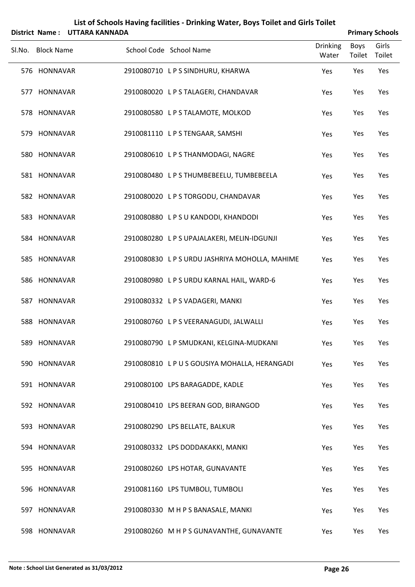|                   | District Name: UTTARA KANNADA |                                                |                          |                       | <b>Primary Schools</b> |
|-------------------|-------------------------------|------------------------------------------------|--------------------------|-----------------------|------------------------|
| Sl.No. Block Name |                               | School Code School Name                        | <b>Drinking</b><br>Water | <b>Boys</b><br>Toilet | Girls<br>Toilet        |
| 576 HONNAVAR      |                               | 2910080710 LPS SINDHURU, KHARWA                | Yes                      | Yes                   | Yes                    |
| 577 HONNAVAR      |                               | 2910080020 LPS TALAGERI, CHANDAVAR             | Yes                      | Yes                   | Yes                    |
| 578 HONNAVAR      |                               | 2910080580 LPS TALAMOTE, MOLKOD                | Yes                      | Yes                   | Yes                    |
| 579 HONNAVAR      |                               | 2910081110 LPS TENGAAR, SAMSHI                 | Yes                      | Yes                   | Yes                    |
| 580 HONNAVAR      |                               | 2910080610 LPS THANMODAGI, NAGRE               | Yes                      | Yes                   | Yes                    |
| 581 HONNAVAR      |                               | 2910080480 LPSTHUMBEBEELU, TUMBEBEELA          | Yes                      | Yes                   | Yes                    |
| 582 HONNAVAR      |                               | 2910080020 L P S TORGODU, CHANDAVAR            | Yes                      | Yes                   | Yes                    |
| 583 HONNAVAR      |                               | 2910080880 LPSUKANDODI, KHANDODI               | Yes                      | Yes                   | Yes                    |
| 584 HONNAVAR      |                               | 2910080280 LPS UPAJALAKERI, MELIN-IDGUNJI      | Yes                      | Yes                   | Yes                    |
| 585 HONNAVAR      |                               | 2910080830 L P S URDU JASHRIYA MOHOLLA, MAHIME | Yes                      | Yes                   | Yes                    |
| 586 HONNAVAR      |                               | 2910080980 LPS URDU KARNAL HAIL, WARD-6        | Yes                      | Yes                   | Yes                    |
| 587 HONNAVAR      |                               | 2910080332 LPS VADAGERI, MANKI                 | Yes                      | Yes                   | Yes                    |
| 588 HONNAVAR      |                               | 2910080760 LPS VEERANAGUDI, JALWALLI           | Yes                      | Yes                   | Yes                    |
| 589 HONNAVAR      |                               | 2910080790 L P SMUDKANI, KELGINA-MUDKANI       | Yes                      | Yes                   | Yes                    |
| 590 HONNAVAR      |                               | 2910080810 LPUS GOUSIYA MOHALLA, HERANGADI     | Yes                      | Yes                   | Yes                    |
| 591 HONNAVAR      |                               | 2910080100 LPS BARAGADDE, KADLE                | Yes                      | Yes                   | Yes                    |
| 592 HONNAVAR      |                               | 2910080410 LPS BEERAN GOD, BIRANGOD            | Yes                      | Yes                   | Yes                    |
| 593 HONNAVAR      |                               | 2910080290 LPS BELLATE, BALKUR                 | Yes                      | Yes                   | Yes                    |
| 594 HONNAVAR      |                               | 2910080332 LPS DODDAKAKKI, MANKI               | Yes                      | Yes                   | Yes                    |
| 595 HONNAVAR      |                               | 2910080260 LPS HOTAR, GUNAVANTE                | Yes                      | Yes                   | Yes                    |
| 596 HONNAVAR      |                               | 2910081160 LPS TUMBOLI, TUMBOLI                | Yes                      | Yes                   | Yes                    |
| 597 HONNAVAR      |                               | 2910080330 M H P S BANASALE, MANKI             | Yes                      | Yes                   | Yes                    |
| 598 HONNAVAR      |                               | 2910080260 M H P S GUNAVANTHE, GUNAVANTE       | Yes                      | Yes                   | Yes                    |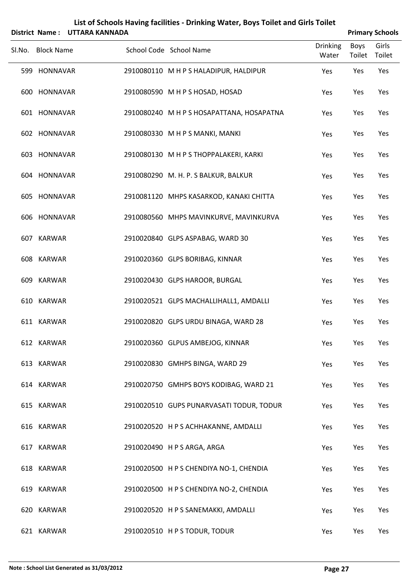|        | List of Schools Having facilities - Drinking Water, Boys Toilet and Girls Toilet<br>District Name: UTTARA KANNADA<br><b>Primary Schools</b> |  |  |                                           |                 |        |        |  |
|--------|---------------------------------------------------------------------------------------------------------------------------------------------|--|--|-------------------------------------------|-----------------|--------|--------|--|
| SI.No. | <b>Block Name</b>                                                                                                                           |  |  | School Code School Name                   | <b>Drinking</b> | Boys   | Girls  |  |
|        |                                                                                                                                             |  |  |                                           | Water           | Toilet | Toilet |  |
|        | 599 HONNAVAR                                                                                                                                |  |  | 2910080110 M H P S HALADIPUR, HALDIPUR    | Yes             | Yes    | Yes    |  |
|        | 600 HONNAVAR                                                                                                                                |  |  | 2910080590 M H P S HOSAD, HOSAD           | Yes             | Yes    | Yes    |  |
|        | 601 HONNAVAR                                                                                                                                |  |  | 2910080240 M H P S HOSAPATTANA, HOSAPATNA | Yes             | Yes    | Yes    |  |
|        | 602 HONNAVAR                                                                                                                                |  |  | 2910080330 M H P S MANKI, MANKI           | Yes             | Yes    | Yes    |  |
|        | 603 HONNAVAR                                                                                                                                |  |  | 2910080130 M H P S THOPPALAKERI, KARKI    | Yes             | Yes    | Yes    |  |
|        | 604 HONNAVAR                                                                                                                                |  |  | 2910080290 M. H. P. S BALKUR, BALKUR      | Yes             | Yes    | Yes    |  |
|        | 605 HONNAVAR                                                                                                                                |  |  | 2910081120 MHPS KASARKOD, KANAKI CHITTA   | Yes             | Yes    | Yes    |  |
|        | 606 HONNAVAR                                                                                                                                |  |  | 2910080560 MHPS MAVINKURVE, MAVINKURVA    | Yes             | Yes    | Yes    |  |
|        | 607 KARWAR                                                                                                                                  |  |  | 2910020840 GLPS ASPABAG, WARD 30          | Yes             | Yes    | Yes    |  |
|        | 608 KARWAR                                                                                                                                  |  |  | 2910020360 GLPS BORIBAG, KINNAR           | Yes             | Yes    | Yes    |  |
|        | 609 KARWAR                                                                                                                                  |  |  | 2910020430 GLPS HAROOR, BURGAL            | Yes             | Yes    | Yes    |  |
|        | 610 KARWAR                                                                                                                                  |  |  | 2910020521 GLPS MACHALLIHALL1, AMDALLI    | Yes             | Yes    | Yes    |  |
|        | 611 KARWAR                                                                                                                                  |  |  | 2910020820 GLPS URDU BINAGA, WARD 28      | Yes             | Yes    | Yes    |  |
|        | 612 KARWAR                                                                                                                                  |  |  | 2910020360 GLPUS AMBEJOG, KINNAR          | Yes             | Yes    | Yes    |  |
|        | 613 KARWAR                                                                                                                                  |  |  | 2910020830 GMHPS BINGA, WARD 29           | Yes             | Yes    | Yes    |  |
|        | 614 KARWAR                                                                                                                                  |  |  | 2910020750 GMHPS BOYS KODIBAG, WARD 21    | Yes             | Yes    | Yes    |  |
|        | 615 KARWAR                                                                                                                                  |  |  | 2910020510 GUPS PUNARVASATI TODUR, TODUR  | Yes             | Yes    | Yes    |  |
|        | 616 KARWAR                                                                                                                                  |  |  | 2910020520 H P S ACHHAKANNE, AMDALLI      | Yes             | Yes    | Yes    |  |
|        | 617 KARWAR                                                                                                                                  |  |  | 2910020490 H P S ARGA, ARGA               | Yes             | Yes    | Yes    |  |
|        | 618 KARWAR                                                                                                                                  |  |  | 2910020500 H P S CHENDIYA NO-1, CHENDIA   | Yes             | Yes    | Yes    |  |
|        | 619 KARWAR                                                                                                                                  |  |  | 2910020500 H P S CHENDIYA NO-2, CHENDIA   | Yes             | Yes    | Yes    |  |
|        | 620 KARWAR                                                                                                                                  |  |  | 2910020520 H P S SANEMAKKI, AMDALLI       | Yes             | Yes    | Yes    |  |
|        | 621 KARWAR                                                                                                                                  |  |  | 2910020510 H P S TODUR, TODUR             | Yes             | Yes    | Yes    |  |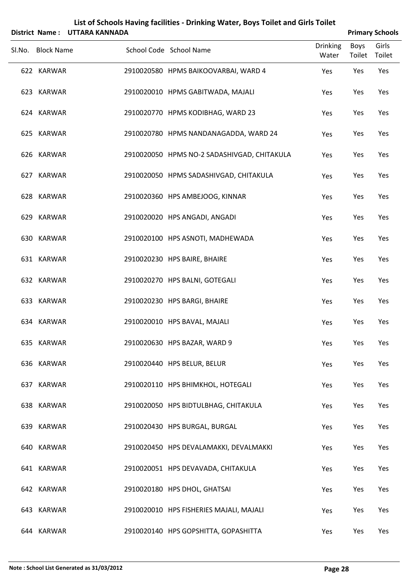|                   | District Name: UTTARA KANNADA |                                             |                          |                       | <b>Primary Schools</b> |
|-------------------|-------------------------------|---------------------------------------------|--------------------------|-----------------------|------------------------|
| Sl.No. Block Name |                               | School Code School Name                     | <b>Drinking</b><br>Water | <b>Boys</b><br>Toilet | Girls<br>Toilet        |
| 622 KARWAR        |                               | 2910020580 HPMS BAIKOOVARBAI, WARD 4        | Yes                      | Yes                   | Yes                    |
| 623 KARWAR        |                               | 2910020010 HPMS GABITWADA, MAJALI           | Yes                      | Yes                   | Yes                    |
| 624 KARWAR        |                               | 2910020770 HPMS KODIBHAG, WARD 23           | Yes                      | Yes                   | Yes                    |
| 625 KARWAR        |                               | 2910020780 HPMS NANDANAGADDA, WARD 24       | Yes                      | Yes                   | Yes                    |
| 626 KARWAR        |                               | 2910020050 HPMS NO-2 SADASHIVGAD, CHITAKULA | Yes                      | Yes                   | Yes                    |
| 627 KARWAR        |                               | 2910020050 HPMS SADASHIVGAD, CHITAKULA      | Yes                      | Yes                   | Yes                    |
| 628 KARWAR        |                               | 2910020360 HPS AMBEJOOG, KINNAR             | Yes                      | Yes                   | Yes                    |
| 629 KARWAR        |                               | 2910020020 HPS ANGADI, ANGADI               | Yes                      | Yes                   | Yes                    |
| 630 KARWAR        |                               | 2910020100 HPS ASNOTI, MADHEWADA            | Yes                      | Yes                   | Yes                    |
| 631 KARWAR        |                               | 2910020230 HPS BAIRE, BHAIRE                | Yes                      | Yes                   | Yes                    |
| 632 KARWAR        |                               | 2910020270 HPS BALNI, GOTEGALI              | Yes                      | Yes                   | Yes                    |
| 633 KARWAR        |                               | 2910020230 HPS BARGI, BHAIRE                | Yes                      | Yes                   | Yes                    |
| 634 KARWAR        |                               | 2910020010 HPS BAVAL, MAJALI                | Yes                      | Yes                   | Yes                    |
| 635 KARWAR        |                               | 2910020630 HPS BAZAR, WARD 9                | Yes                      | Yes                   | Yes                    |
| 636 KARWAR        |                               | 2910020440 HPS BELUR, BELUR                 | Yes                      | Yes                   | Yes                    |
| 637 KARWAR        |                               | 2910020110 HPS BHIMKHOL, HOTEGALI           | Yes                      | Yes                   | Yes                    |
| 638 KARWAR        |                               | 2910020050 HPS BIDTULBHAG, CHITAKULA        | Yes                      | Yes                   | Yes                    |
| 639 KARWAR        |                               | 2910020430 HPS BURGAL, BURGAL               | Yes                      | Yes                   | Yes                    |
| 640 KARWAR        |                               | 2910020450 HPS DEVALAMAKKI, DEVALMAKKI      | Yes                      | Yes                   | Yes                    |
| 641 KARWAR        |                               | 2910020051 HPS DEVAVADA, CHITAKULA          | Yes                      | Yes                   | Yes                    |
| 642 KARWAR        |                               | 2910020180 HPS DHOL, GHATSAI                | Yes                      | Yes                   | Yes                    |
| 643 KARWAR        |                               | 2910020010 HPS FISHERIES MAJALI, MAJALI     | Yes                      | Yes                   | Yes                    |
| 644 KARWAR        |                               | 2910020140 HPS GOPSHITTA, GOPASHITTA        | Yes                      | Yes                   | Yes                    |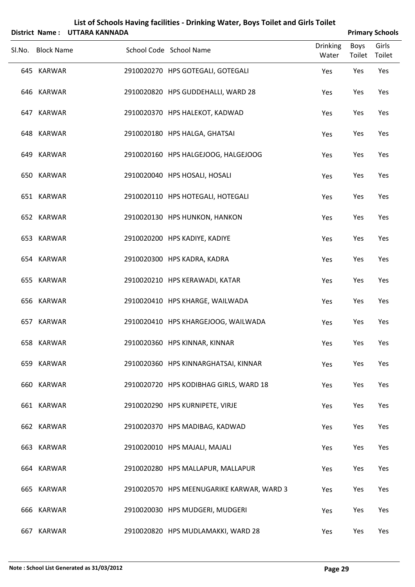|                   | District Name: UTTARA KANNADA | List of Schools Having facilities - Drinking Water, Boys Toilet and Girls Toilet |                | <b>Primary Schools</b> |
|-------------------|-------------------------------|----------------------------------------------------------------------------------|----------------|------------------------|
| Sl.No. Block Name |                               | <b>Drinking</b><br>School Code School Name<br>Water                              | Boys<br>Toilet | Girls<br>Toilet        |
| 645 KARWAR        |                               | 2910020270 HPS GOTEGALI, GOTEGALI<br>Yes                                         | Yes            | Yes                    |
| 646 KARWAR        |                               | 2910020820 HPS GUDDEHALLI, WARD 28<br>Yes                                        | Yes            | Yes                    |
| 647 KARWAR        |                               | 2910020370 HPS HALEKOT, KADWAD<br>Yes                                            | Yes            | Yes                    |
| 648 KARWAR        |                               | 2910020180 HPS HALGA, GHATSAI<br>Yes                                             | Yes            | Yes                    |
| 649 KARWAR        |                               | 2910020160 HPS HALGEJOOG, HALGEJOOG<br>Yes                                       | Yes            | Yes                    |
| 650 KARWAR        |                               | 2910020040 HPS HOSALI, HOSALI<br>Yes                                             | Yes            | Yes                    |
| 651 KARWAR        |                               | 2910020110 HPS HOTEGALI, HOTEGALI<br>Yes                                         | Yes            | Yes                    |
| 652 KARWAR        |                               | 2910020130 HPS HUNKON, HANKON<br>Yes                                             | Yes            | Yes                    |
| 653 KARWAR        |                               | 2910020200 HPS KADIYE, KADIYE<br>Yes                                             | Yes            | Yes                    |
| 654 KARWAR        |                               | 2910020300 HPS KADRA, KADRA<br>Yes                                               | Yes            | Yes                    |
| 655 KARWAR        |                               | 2910020210 HPS KERAWADI, KATAR<br>Yes                                            | Yes            | Yes                    |
| 656 KARWAR        |                               | 2910020410 HPS KHARGE, WAILWADA<br>Yes                                           | Yes            | Yes                    |
| 657 KARWAR        |                               | 2910020410 HPS KHARGEJOOG, WAILWADA<br>Yes                                       | Yes            | Yes                    |
| 658 KARWAR        |                               | 2910020360 HPS KINNAR, KINNAR<br>Yes                                             | Yes            | Yes                    |
| 659 KARWAR        |                               | 2910020360 HPS KINNARGHATSAI, KINNAR<br>Yes                                      | Yes            | Yes                    |
| 660 KARWAR        |                               | 2910020720 HPS KODIBHAG GIRLS, WARD 18<br>Yes                                    | Yes            | Yes                    |
| 661 KARWAR        |                               | 2910020290 HPS KURNIPETE, VIRJE<br>Yes                                           | Yes            | Yes                    |
| 662 KARWAR        |                               | 2910020370 HPS MADIBAG, KADWAD<br>Yes                                            | Yes            | Yes                    |
| 663 KARWAR        |                               | 2910020010 HPS MAJALI, MAJALI<br>Yes                                             | Yes            | Yes                    |
| 664 KARWAR        |                               | 2910020280 HPS MALLAPUR, MALLAPUR<br>Yes                                         | Yes            | Yes                    |
| 665 KARWAR        |                               | 2910020570 HPS MEENUGARIKE KARWAR, WARD 3<br>Yes                                 | Yes            | Yes                    |
| 666 KARWAR        |                               | 2910020030 HPS MUDGERI, MUDGERI<br>Yes                                           | Yes            | Yes                    |
| 667 KARWAR        |                               | 2910020820 HPS MUDLAMAKKI, WARD 28<br>Yes                                        | Yes            | Yes                    |

### **Note : School List Generated as 31/03/2012 Page 29**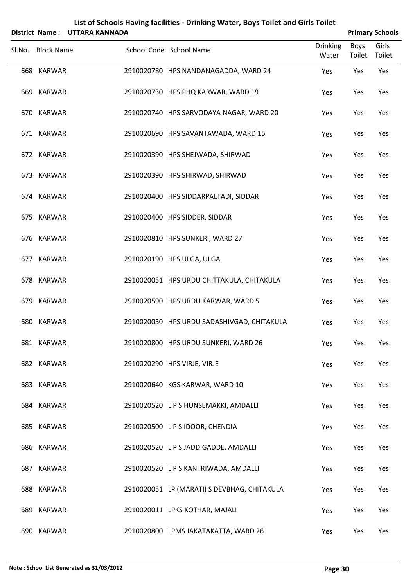| List of Schools Having facilities - Drinking Water, Boys Toilet and Girls Toilet<br>District Name: UTTARA KANNADA<br><b>Primary Schools</b> |  |                                                     |                |                 |  |  |
|---------------------------------------------------------------------------------------------------------------------------------------------|--|-----------------------------------------------------|----------------|-----------------|--|--|
| Sl.No. Block Name                                                                                                                           |  | <b>Drinking</b><br>School Code School Name<br>Water | Boys<br>Toilet | Girls<br>Toilet |  |  |
| 668 KARWAR                                                                                                                                  |  | 2910020780 HPS NANDANAGADDA, WARD 24<br>Yes         | Yes            | Yes             |  |  |
| 669 KARWAR                                                                                                                                  |  | 2910020730 HPS PHQ KARWAR, WARD 19<br>Yes           | Yes            | Yes             |  |  |
| 670 KARWAR                                                                                                                                  |  | 2910020740 HPS SARVODAYA NAGAR, WARD 20<br>Yes      | Yes            | Yes             |  |  |
| 671 KARWAR                                                                                                                                  |  | 2910020690 HPS SAVANTAWADA, WARD 15<br>Yes          | Yes            | Yes             |  |  |
| 672 KARWAR                                                                                                                                  |  | 2910020390 HPS SHEJWADA, SHIRWAD<br>Yes             | Yes            | Yes             |  |  |
| 673 KARWAR                                                                                                                                  |  | 2910020390 HPS SHIRWAD, SHIRWAD<br>Yes              | Yes            | Yes             |  |  |
| 674 KARWAR                                                                                                                                  |  | 2910020400 HPS SIDDARPALTADI, SIDDAR<br>Yes         | Yes            | Yes             |  |  |
| 675 KARWAR                                                                                                                                  |  | 2910020400 HPS SIDDER, SIDDAR<br>Yes                | Yes            | Yes             |  |  |
| 676 KARWAR                                                                                                                                  |  | 2910020810 HPS SUNKERI, WARD 27<br>Yes              | Yes            | Yes             |  |  |
| 677 KARWAR                                                                                                                                  |  | 2910020190 HPS ULGA, ULGA<br>Yes                    | Yes            | Yes             |  |  |
| 678 KARWAR                                                                                                                                  |  | 2910020051 HPS URDU CHITTAKULA, CHITAKULA<br>Yes    | Yes            | Yes             |  |  |
| 679 KARWAR                                                                                                                                  |  | 2910020590 HPS URDU KARWAR, WARD 5<br>Yes           | Yes            | Yes             |  |  |
| 680 KARWAR                                                                                                                                  |  | 2910020050 HPS URDU SADASHIVGAD, CHITAKULA<br>Yes   | Yes            | Yes             |  |  |
| 681 KARWAR                                                                                                                                  |  | 2910020800 HPS URDU SUNKERI, WARD 26<br>Yes         | Yes            | Yes             |  |  |
| 682 KARWAR                                                                                                                                  |  | 2910020290 HPS VIRJE, VIRJE<br>Yes                  | Yes            | Yes             |  |  |
| 683 KARWAR                                                                                                                                  |  | 2910020640 KGS KARWAR, WARD 10<br>Yes               | Yes            | Yes             |  |  |
| 684 KARWAR                                                                                                                                  |  | 2910020520 L P S HUNSEMAKKI, AMDALLI<br>Yes         | Yes            | Yes             |  |  |
| 685 KARWAR                                                                                                                                  |  | 2910020500 LPS IDOOR, CHENDIA<br>Yes                | Yes            | Yes             |  |  |
| 686 KARWAR                                                                                                                                  |  | 2910020520 LPS JADDIGADDE, AMDALLI<br>Yes           | Yes            | Yes             |  |  |
| 687 KARWAR                                                                                                                                  |  | 2910020520 L P S KANTRIWADA, AMDALLI<br>Yes         | Yes            | Yes             |  |  |
| 688 KARWAR                                                                                                                                  |  | 2910020051 LP (MARATI) S DEVBHAG, CHITAKULA<br>Yes  | Yes            | Yes             |  |  |
| 689 KARWAR                                                                                                                                  |  | 2910020011 LPKS KOTHAR, MAJALI<br>Yes               | Yes            | Yes             |  |  |
| 690 KARWAR                                                                                                                                  |  | 2910020800 LPMS JAKATAKATTA, WARD 26<br>Yes         | Yes            | Yes             |  |  |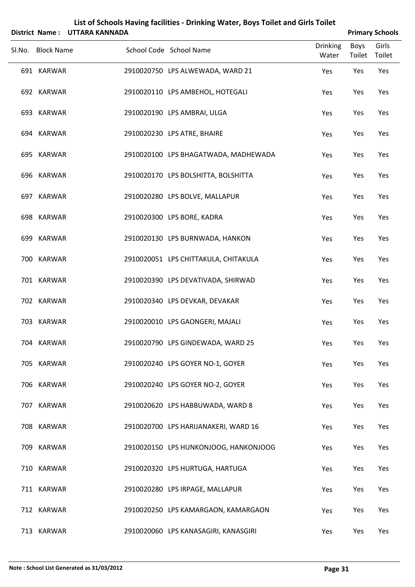| District Name: UTTARA KANNADA |  |                                       |                          |                | <b>Primary Schools</b> |
|-------------------------------|--|---------------------------------------|--------------------------|----------------|------------------------|
| Sl.No. Block Name             |  | School Code School Name               | <b>Drinking</b><br>Water | Boys<br>Toilet | Girls<br>Toilet        |
| 691 KARWAR                    |  | 2910020750 LPS ALWEWADA, WARD 21      | Yes                      | Yes            | Yes                    |
| 692 KARWAR                    |  | 2910020110 LPS AMBEHOL, HOTEGALI      | Yes                      | Yes            | Yes                    |
| 693 KARWAR                    |  | 2910020190 LPS AMBRAI, ULGA           | Yes                      | Yes            | Yes                    |
| 694 KARWAR                    |  | 2910020230 LPS ATRE, BHAIRE           | Yes                      | Yes            | Yes                    |
| 695 KARWAR                    |  | 2910020100 LPS BHAGATWADA, MADHEWADA  | Yes                      | Yes            | Yes                    |
| 696 KARWAR                    |  | 2910020170 LPS BOLSHITTA, BOLSHITTA   | Yes                      | Yes            | Yes                    |
| 697 KARWAR                    |  | 2910020280 LPS BOLVE, MALLAPUR        | Yes                      | Yes            | Yes                    |
| 698 KARWAR                    |  | 2910020300 LPS BORE, KADRA            | Yes                      | Yes            | Yes                    |
| 699 KARWAR                    |  | 2910020130 LPS BURNWADA, HANKON       | Yes                      | Yes            | Yes                    |
| 700 KARWAR                    |  | 2910020051 LPS CHITTAKULA, CHITAKULA  | Yes                      | Yes            | Yes                    |
| 701 KARWAR                    |  | 2910020390 LPS DEVATIVADA, SHIRWAD    | Yes                      | Yes            | Yes                    |
| 702 KARWAR                    |  | 2910020340 LPS DEVKAR, DEVAKAR        | Yes                      | Yes            | Yes                    |
| 703 KARWAR                    |  | 2910020010 LPS GAONGERI, MAJALI       | Yes                      | Yes            | Yes                    |
| 704 KARWAR                    |  | 2910020790 LPS GINDEWADA, WARD 25     | Yes                      | Yes            | Yes                    |
| 705 KARWAR                    |  | 2910020240 LPS GOYER NO-1, GOYER      | Yes                      | Yes            | Yes                    |
| 706 KARWAR                    |  | 2910020240 LPS GOYER NO-2, GOYER      | Yes                      | Yes            | Yes                    |
| 707 KARWAR                    |  | 2910020620 LPS HABBUWADA, WARD 8      | Yes                      | Yes            | Yes                    |
| 708 KARWAR                    |  | 2910020700 LPS HARIJANAKERI, WARD 16  | Yes                      | Yes            | Yes                    |
| 709 KARWAR                    |  | 2910020150 LPS HUNKONJOOG, HANKONJOOG | Yes                      | Yes            | Yes                    |
| 710 KARWAR                    |  | 2910020320 LPS HURTUGA, HARTUGA       | Yes                      | Yes            | Yes                    |
| 711 KARWAR                    |  | 2910020280 LPS IRPAGE, MALLAPUR       | Yes                      | Yes            | Yes                    |
| 712 KARWAR                    |  | 2910020250 LPS KAMARGAON, KAMARGAON   | Yes                      | Yes            | Yes                    |
| 713 KARWAR                    |  | 2910020060 LPS KANASAGIRI, KANASGIRI  | Yes                      | Yes            | Yes                    |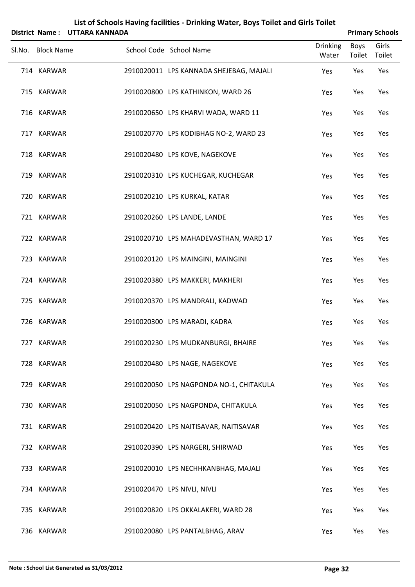| District Name: UTTARA KANNADA |                                         |                          | <b>Primary Schools</b> |                 |  |  |
|-------------------------------|-----------------------------------------|--------------------------|------------------------|-----------------|--|--|
| Sl.No. Block Name             | School Code School Name                 | <b>Drinking</b><br>Water | Boys<br>Toilet         | Girls<br>Toilet |  |  |
| 714 KARWAR                    | 2910020011 LPS KANNADA SHEJEBAG, MAJALI | Yes                      | Yes                    | Yes             |  |  |
| 715 KARWAR                    | 2910020800 LPS KATHINKON, WARD 26       | Yes                      | Yes                    | Yes             |  |  |
| 716 KARWAR                    | 2910020650 LPS KHARVI WADA, WARD 11     | Yes                      | Yes                    | Yes             |  |  |
| 717 KARWAR                    | 2910020770 LPS KODIBHAG NO-2, WARD 23   | Yes                      | Yes                    | Yes             |  |  |
| 718 KARWAR                    | 2910020480 LPS KOVE, NAGEKOVE           | Yes                      | Yes                    | Yes             |  |  |
| 719 KARWAR                    | 2910020310 LPS KUCHEGAR, KUCHEGAR       | Yes                      | Yes                    | Yes             |  |  |
| 720 KARWAR                    | 2910020210 LPS KURKAL, KATAR            | Yes                      | Yes                    | Yes             |  |  |
| 721 KARWAR                    | 2910020260 LPS LANDE, LANDE             | Yes                      | Yes                    | Yes             |  |  |
| 722 KARWAR                    | 2910020710 LPS MAHADEVASTHAN, WARD 17   | Yes                      | Yes                    | Yes             |  |  |
| 723 KARWAR                    | 2910020120 LPS MAINGINI, MAINGINI       | Yes                      | Yes                    | Yes             |  |  |
| 724 KARWAR                    | 2910020380 LPS MAKKERI, MAKHERI         | Yes                      | Yes                    | Yes             |  |  |
| 725 KARWAR                    | 2910020370 LPS MANDRALI, KADWAD         | Yes                      | Yes                    | Yes             |  |  |
| 726 KARWAR                    | 2910020300 LPS MARADI, KADRA            | Yes                      | Yes                    | Yes             |  |  |
| 727 KARWAR                    | 2910020230 LPS MUDKANBURGI, BHAIRE      | Yes                      | Yes                    | Yes             |  |  |
| 728 KARWAR                    | 2910020480 LPS NAGE, NAGEKOVE           | Yes                      | Yes                    | Yes             |  |  |
| 729 KARWAR                    | 2910020050 LPS NAGPONDA NO-1, CHITAKULA | Yes                      | Yes                    | Yes             |  |  |
| 730 KARWAR                    | 2910020050 LPS NAGPONDA, CHITAKULA      | Yes                      | Yes                    | Yes             |  |  |
| 731 KARWAR                    | 2910020420 LPS NAITISAVAR, NAITISAVAR   | Yes                      | Yes                    | Yes             |  |  |
| 732 KARWAR                    | 2910020390 LPS NARGERI, SHIRWAD         | Yes                      | Yes                    | Yes             |  |  |
| 733 KARWAR                    | 2910020010 LPS NECHHKANBHAG, MAJALI     | Yes                      | Yes                    | Yes             |  |  |
| 734 KARWAR                    | 2910020470 LPS NIVLI, NIVLI             | Yes                      | Yes                    | Yes             |  |  |
| 735 KARWAR                    | 2910020820 LPS OKKALAKERI, WARD 28      | Yes                      | Yes                    | Yes             |  |  |
| 736 KARWAR                    | 2910020080 LPS PANTALBHAG, ARAV         | Yes                      | Yes                    | Yes             |  |  |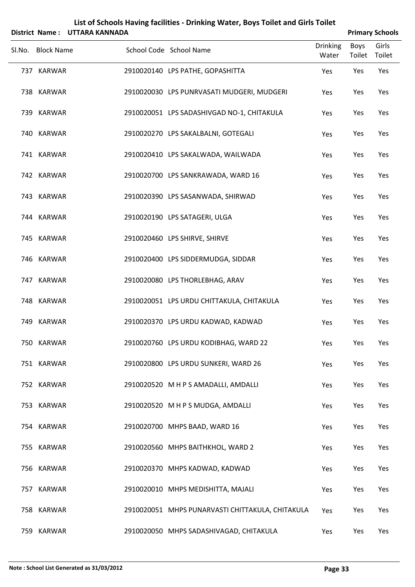|        |                   | District Name: UTTARA KANNADA |                                                  |                          |                | <b>Primary Schools</b> |
|--------|-------------------|-------------------------------|--------------------------------------------------|--------------------------|----------------|------------------------|
| SI.No. | <b>Block Name</b> |                               | School Code School Name                          | <b>Drinking</b><br>Water | Boys<br>Toilet | Girls<br>Toilet        |
|        | 737 KARWAR        |                               | 2910020140 LPS PATHE, GOPASHITTA                 | Yes                      | Yes            | Yes                    |
|        | 738 KARWAR        |                               | 2910020030 LPS PUNRVASATI MUDGERI, MUDGERI       | Yes                      | Yes            | Yes                    |
|        | 739 KARWAR        |                               | 2910020051 LPS SADASHIVGAD NO-1, CHITAKULA       | Yes                      | Yes            | Yes                    |
|        | 740 KARWAR        |                               | 2910020270 LPS SAKALBALNI, GOTEGALI              | Yes                      | Yes            | Yes                    |
|        | 741 KARWAR        |                               | 2910020410 LPS SAKALWADA, WAILWADA               | Yes                      | Yes            | Yes                    |
|        | 742 KARWAR        |                               | 2910020700 LPS SANKRAWADA, WARD 16               | Yes                      | Yes            | Yes                    |
|        | 743 KARWAR        |                               | 2910020390 LPS SASANWADA, SHIRWAD                | Yes                      | Yes            | Yes                    |
|        | 744 KARWAR        |                               | 2910020190 LPS SATAGERI, ULGA                    | Yes                      | Yes            | Yes                    |
|        | 745 KARWAR        |                               | 2910020460 LPS SHIRVE, SHIRVE                    | Yes                      | Yes            | Yes                    |
|        | 746 KARWAR        |                               | 2910020400 LPS SIDDERMUDGA, SIDDAR               | Yes                      | Yes            | Yes                    |
|        | 747 KARWAR        |                               | 2910020080 LPS THORLEBHAG, ARAV                  | Yes                      | Yes            | Yes                    |
|        | 748 KARWAR        |                               | 2910020051 LPS URDU CHITTAKULA, CHITAKULA        | Yes                      | Yes            | Yes                    |
|        | 749 KARWAR        |                               | 2910020370 LPS URDU KADWAD, KADWAD               | Yes                      | Yes            | Yes                    |
|        | 750 KARWAR        |                               | 2910020760 LPS URDU KODIBHAG, WARD 22            | Yes                      | Yes            | Yes                    |
|        | 751 KARWAR        |                               | 2910020800 LPS URDU SUNKERI, WARD 26             | Yes                      | Yes            | Yes                    |
|        | 752 KARWAR        |                               | 2910020520 M H P S AMADALLI, AMDALLI             | Yes                      | Yes            | Yes                    |
|        | 753 KARWAR        |                               | 2910020520 M H P S MUDGA, AMDALLI                | Yes                      | Yes            | Yes                    |
|        | 754 KARWAR        |                               | 2910020700 MHPS BAAD, WARD 16                    | Yes                      | Yes            | Yes                    |
|        | 755 KARWAR        |                               | 2910020560 MHPS BAITHKHOL, WARD 2                | Yes                      | Yes            | Yes                    |
|        | 756 KARWAR        |                               | 2910020370 MHPS KADWAD, KADWAD                   | Yes                      | Yes            | Yes                    |
|        | 757 KARWAR        |                               | 2910020010 MHPS MEDISHITTA, MAJALI               | Yes                      | Yes            | Yes                    |
|        | 758 KARWAR        |                               | 2910020051 MHPS PUNARVASTI CHITTAKULA, CHITAKULA | Yes                      | Yes            | Yes                    |
|        | 759 KARWAR        |                               | 2910020050 MHPS SADASHIVAGAD, CHITAKULA          | Yes                      | Yes            | Yes                    |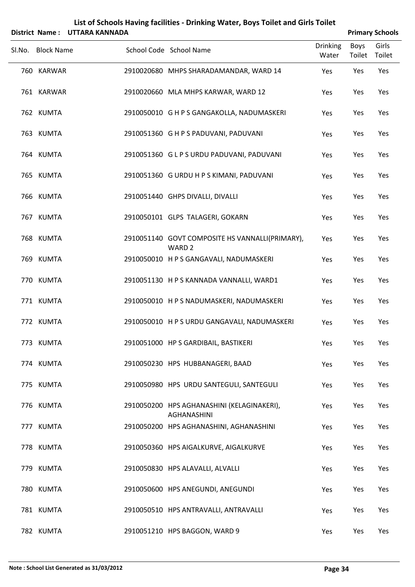| List of Schools Having facilities - Drinking Water, Boys Toilet and Girls Toilet<br>District Name: UTTARA KANNADA<br><b>Primary Schools</b> |                   |  |                                                                      |                          |                       |                 |  |
|---------------------------------------------------------------------------------------------------------------------------------------------|-------------------|--|----------------------------------------------------------------------|--------------------------|-----------------------|-----------------|--|
| Sl.No.                                                                                                                                      | <b>Block Name</b> |  | School Code School Name                                              | <b>Drinking</b><br>Water | <b>Boys</b><br>Toilet | Girls<br>Toilet |  |
|                                                                                                                                             | 760 KARWAR        |  | 2910020680 MHPS SHARADAMANDAR, WARD 14                               | Yes                      | Yes                   | Yes             |  |
|                                                                                                                                             | 761 KARWAR        |  | 2910020660 MLA MHPS KARWAR, WARD 12                                  | Yes                      | Yes                   | Yes             |  |
|                                                                                                                                             | 762 KUMTA         |  | 2910050010 G H P S GANGAKOLLA, NADUMASKERI                           | Yes                      | Yes                   | Yes             |  |
|                                                                                                                                             | 763 KUMTA         |  | 2910051360 G H P S PADUVANI, PADUVANI                                | Yes                      | Yes                   | Yes             |  |
|                                                                                                                                             | 764 KUMTA         |  | 2910051360 GLPS URDU PADUVANI, PADUVANI                              | Yes                      | Yes                   | Yes             |  |
|                                                                                                                                             | 765 KUMTA         |  | 2910051360 G URDU H P S KIMANI, PADUVANI                             | Yes                      | Yes                   | Yes             |  |
|                                                                                                                                             | 766 KUMTA         |  | 2910051440 GHPS DIVALLI, DIVALLI                                     | Yes                      | Yes                   | Yes             |  |
|                                                                                                                                             | 767 KUMTA         |  | 2910050101 GLPS TALAGERI, GOKARN                                     | Yes                      | Yes                   | Yes             |  |
|                                                                                                                                             | 768 KUMTA         |  | 2910051140 GOVT COMPOSITE HS VANNALLI(PRIMARY),<br>WARD <sub>2</sub> | Yes                      | Yes                   | Yes             |  |
|                                                                                                                                             | 769 KUMTA         |  | 2910050010 H P S GANGAVALI, NADUMASKERI                              | Yes                      | Yes                   | Yes             |  |
|                                                                                                                                             | 770 KUMTA         |  | 2910051130 H P S KANNADA VANNALLI, WARD1                             | Yes                      | Yes                   | Yes             |  |
|                                                                                                                                             | 771 KUMTA         |  | 2910050010 H P S NADUMASKERI, NADUMASKERI                            | Yes                      | Yes                   | Yes             |  |
|                                                                                                                                             | 772 KUMTA         |  | 2910050010 H P S URDU GANGAVALI, NADUMASKERI                         | Yes                      | Yes                   | Yes             |  |
|                                                                                                                                             | 773 KUMTA         |  | 2910051000 HP S GARDIBAIL, BASTIKERI                                 | Yes                      | Yes                   | Yes             |  |
|                                                                                                                                             | 774 KUMTA         |  | 2910050230 HPS HUBBANAGERI, BAAD                                     | Yes                      | Yes                   | Yes             |  |
|                                                                                                                                             | 775 KUMTA         |  | 2910050980 HPS URDU SANTEGULI, SANTEGULI                             | Yes                      | Yes                   | Yes             |  |
|                                                                                                                                             | 776 KUMTA         |  | 2910050200 HPS AGHANASHINI (KELAGINAKERI),<br><b>AGHANASHINI</b>     | Yes                      | Yes                   | Yes             |  |
|                                                                                                                                             | 777 KUMTA         |  | 2910050200 HPS AGHANASHINI, AGHANASHINI                              | Yes                      | Yes                   | Yes             |  |
|                                                                                                                                             | 778 KUMTA         |  | 2910050360 HPS AIGALKURVE, AIGALKURVE                                | Yes                      | Yes                   | Yes             |  |
|                                                                                                                                             | 779 KUMTA         |  | 2910050830 HPS ALAVALLI, ALVALLI                                     | Yes                      | Yes                   | Yes             |  |
|                                                                                                                                             | 780 KUMTA         |  | 2910050600 HPS ANEGUNDI, ANEGUNDI                                    | Yes                      | Yes                   | Yes             |  |
|                                                                                                                                             | 781 KUMTA         |  | 2910050510 HPS ANTRAVALLI, ANTRAVALLI                                | Yes                      | Yes                   | Yes             |  |
|                                                                                                                                             | 782 KUMTA         |  | 2910051210 HPS BAGGON, WARD 9                                        | Yes                      | Yes                   | Yes             |  |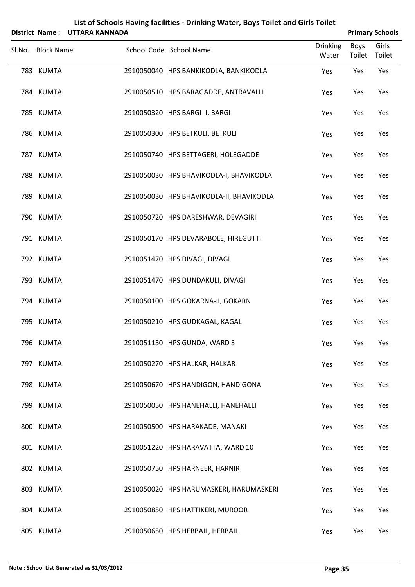|                   | District Name: UTTARA KANNADA |                                          |                          |                       | <b>Primary Schools</b> |
|-------------------|-------------------------------|------------------------------------------|--------------------------|-----------------------|------------------------|
| Sl.No. Block Name |                               | School Code School Name                  | <b>Drinking</b><br>Water | <b>Boys</b><br>Toilet | Girls<br>Toilet        |
| 783 KUMTA         |                               | 2910050040 HPS BANKIKODLA, BANKIKODLA    | Yes                      | Yes                   | Yes                    |
| 784 KUMTA         |                               | 2910050510 HPS BARAGADDE, ANTRAVALLI     | Yes                      | Yes                   | Yes                    |
| 785 KUMTA         |                               | 2910050320 HPS BARGI -I, BARGI           | Yes                      | Yes                   | Yes                    |
| 786 KUMTA         |                               | 2910050300 HPS BETKULI, BETKULI          | Yes                      | Yes                   | Yes                    |
| 787 KUMTA         |                               | 2910050740 HPS BETTAGERI, HOLEGADDE      | Yes                      | Yes                   | Yes                    |
| 788 KUMTA         |                               | 2910050030 HPS BHAVIKODLA-I, BHAVIKODLA  | Yes                      | Yes                   | Yes                    |
| 789 KUMTA         |                               | 2910050030 HPS BHAVIKODLA-II, BHAVIKODLA | Yes                      | Yes                   | Yes                    |
| 790 KUMTA         |                               | 2910050720 HPS DARESHWAR, DEVAGIRI       | Yes                      | Yes                   | Yes                    |
| 791 KUMTA         |                               | 2910050170 HPS DEVARABOLE, HIREGUTTI     | Yes                      | Yes                   | Yes                    |
| 792 KUMTA         |                               | 2910051470 HPS DIVAGI, DIVAGI            | Yes                      | Yes                   | Yes                    |
| 793 KUMTA         |                               | 2910051470 HPS DUNDAKULI, DIVAGI         | Yes                      | Yes                   | Yes                    |
| 794 KUMTA         |                               | 2910050100 HPS GOKARNA-II, GOKARN        | Yes                      | Yes                   | Yes                    |
| 795 KUMTA         |                               | 2910050210 HPS GUDKAGAL, KAGAL           | Yes                      | Yes                   | Yes                    |
| 796 KUMTA         |                               | 2910051150 HPS GUNDA, WARD 3             | Yes                      | Yes                   | Yes                    |
| 797 KUMTA         |                               | 2910050270 HPS HALKAR, HALKAR            | Yes                      | Yes                   | Yes                    |
| 798 KUMTA         |                               | 2910050670 HPS HANDIGON, HANDIGONA       | Yes                      | Yes                   | Yes                    |
| 799 KUMTA         |                               | 2910050050 HPS HANEHALLI, HANEHALLI      | Yes                      | Yes                   | Yes                    |
| 800 KUMTA         |                               | 2910050500 HPS HARAKADE, MANAKI          | Yes                      | Yes                   | Yes                    |
| 801 KUMTA         |                               | 2910051220 HPS HARAVATTA, WARD 10        | Yes                      | Yes                   | Yes                    |
| 802 KUMTA         |                               | 2910050750 HPS HARNEER, HARNIR           | Yes                      | Yes                   | Yes                    |
| 803 KUMTA         |                               | 2910050020 HPS HARUMASKERI, HARUMASKERI  | Yes                      | Yes                   | Yes                    |
| 804 KUMTA         |                               | 2910050850 HPS HATTIKERI, MUROOR         | Yes                      | Yes                   | Yes                    |
| 805 KUMTA         |                               | 2910050650 HPS HEBBAIL, HEBBAIL          | Yes                      | Yes                   | Yes                    |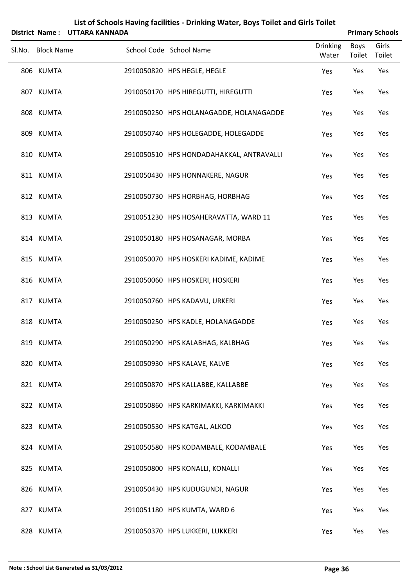| List of Schools Having facilities - Drinking Water, Boys Toilet and Girls Toilet<br>District Name: UTTARA KANNADA |                   |  |                                          |                          |                | <b>Primary Schools</b> |
|-------------------------------------------------------------------------------------------------------------------|-------------------|--|------------------------------------------|--------------------------|----------------|------------------------|
|                                                                                                                   | Sl.No. Block Name |  | School Code School Name                  | <b>Drinking</b><br>Water | Boys<br>Toilet | Girls<br>Toilet        |
|                                                                                                                   | 806 KUMTA         |  | 2910050820 HPS HEGLE, HEGLE              | Yes                      | Yes            | Yes                    |
|                                                                                                                   | 807 KUMTA         |  | 2910050170 HPS HIREGUTTI, HIREGUTTI      | Yes                      | Yes            | Yes                    |
|                                                                                                                   | 808 KUMTA         |  | 2910050250 HPS HOLANAGADDE, HOLANAGADDE  | Yes                      | Yes            | Yes                    |
|                                                                                                                   | 809 KUMTA         |  | 2910050740 HPS HOLEGADDE, HOLEGADDE      | Yes                      | Yes            | Yes                    |
|                                                                                                                   | 810 KUMTA         |  | 2910050510 HPS HONDADAHAKKAL, ANTRAVALLI | Yes                      | Yes            | Yes                    |
|                                                                                                                   | 811 KUMTA         |  | 2910050430 HPS HONNAKERE, NAGUR          | Yes                      | Yes            | Yes                    |
|                                                                                                                   | 812 KUMTA         |  | 2910050730 HPS HORBHAG, HORBHAG          | Yes                      | Yes            | Yes                    |
|                                                                                                                   | 813 KUMTA         |  | 2910051230 HPS HOSAHERAVATTA, WARD 11    | Yes                      | Yes            | Yes                    |
|                                                                                                                   | 814 KUMTA         |  | 2910050180 HPS HOSANAGAR, MORBA          | Yes                      | Yes            | Yes                    |
|                                                                                                                   | 815 KUMTA         |  | 2910050070 HPS HOSKERI KADIME, KADIME    | Yes                      | Yes            | Yes                    |
|                                                                                                                   | 816 KUMTA         |  | 2910050060 HPS HOSKERI, HOSKERI          | Yes                      | Yes            | Yes                    |
|                                                                                                                   | 817 KUMTA         |  | 2910050760 HPS KADAVU, URKERI            | Yes                      | Yes            | Yes                    |
|                                                                                                                   | 818 KUMTA         |  | 2910050250 HPS KADLE, HOLANAGADDE        | Yes                      | Yes            | Yes                    |
|                                                                                                                   | 819 KUMTA         |  | 2910050290 HPS KALABHAG, KALBHAG         | Yes                      | Yes            | Yes                    |
|                                                                                                                   | 820 KUMTA         |  | 2910050930 HPS KALAVE, KALVE             | Yes                      | Yes            | Yes                    |
|                                                                                                                   | 821 KUMTA         |  | 2910050870 HPS KALLABBE, KALLABBE        | Yes                      | Yes            | Yes                    |
|                                                                                                                   | 822 KUMTA         |  | 2910050860 HPS KARKIMAKKI, KARKIMAKKI    | Yes                      | Yes            | Yes                    |
|                                                                                                                   | 823 KUMTA         |  | 2910050530 HPS KATGAL, ALKOD             | Yes                      | Yes            | Yes                    |
|                                                                                                                   | 824 KUMTA         |  | 2910050580 HPS KODAMBALE, KODAMBALE      | Yes                      | Yes            | Yes                    |
|                                                                                                                   | 825 KUMTA         |  | 2910050800 HPS KONALLI, KONALLI          | Yes                      | Yes            | Yes                    |
|                                                                                                                   | 826 KUMTA         |  | 2910050430 HPS KUDUGUNDI, NAGUR          | Yes                      | Yes            | Yes                    |
|                                                                                                                   | 827 KUMTA         |  | 2910051180 HPS KUMTA, WARD 6             | Yes                      | Yes            | Yes                    |
|                                                                                                                   | 828 KUMTA         |  | 2910050370 HPS LUKKERI, LUKKERI          | Yes                      | Yes            | Yes                    |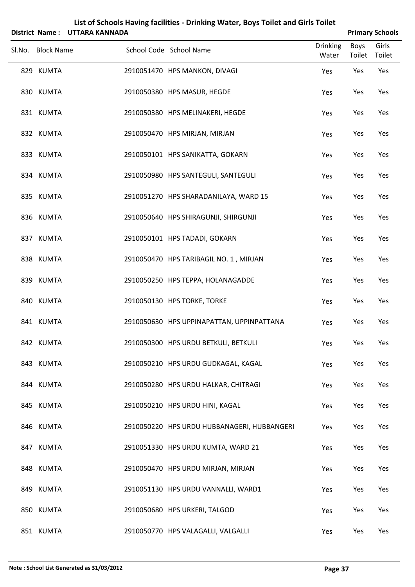|                   | District Name: UTTARA KANNADA |                                             |                          | <b>Primary Schools</b> |       |
|-------------------|-------------------------------|---------------------------------------------|--------------------------|------------------------|-------|
| Sl.No. Block Name |                               | School Code School Name                     | <b>Drinking</b><br>Water | Boys<br>Toilet Toilet  | Girls |
| 829 KUMTA         |                               | 2910051470 HPS MANKON, DIVAGI               | Yes                      | Yes                    | Yes   |
| 830 KUMTA         |                               | 2910050380 HPS MASUR, HEGDE                 | Yes                      | Yes                    | Yes   |
| 831 KUMTA         |                               | 2910050380 HPS MELINAKERI, HEGDE            | Yes                      | Yes                    | Yes   |
| 832 KUMTA         |                               | 2910050470 HPS MIRJAN, MIRJAN               | Yes                      | Yes                    | Yes   |
| 833 KUMTA         |                               | 2910050101 HPS SANIKATTA, GOKARN            | Yes                      | Yes                    | Yes   |
| 834 KUMTA         |                               | 2910050980 HPS SANTEGULI, SANTEGULI         | Yes                      | Yes                    | Yes   |
| 835 KUMTA         |                               | 2910051270 HPS SHARADANILAYA, WARD 15       | Yes                      | Yes                    | Yes   |
| 836 KUMTA         |                               | 2910050640 HPS SHIRAGUNJI, SHIRGUNJI        | Yes                      | Yes                    | Yes   |
| 837 KUMTA         |                               | 2910050101 HPS TADADI, GOKARN               | Yes                      | Yes                    | Yes   |
| 838 KUMTA         |                               | 2910050470 HPS TARIBAGIL NO. 1, MIRJAN      | Yes                      | Yes                    | Yes   |
| 839 KUMTA         |                               | 2910050250 HPS TEPPA, HOLANAGADDE           | Yes                      | Yes                    | Yes   |
| 840 KUMTA         |                               | 2910050130 HPS TORKE, TORKE                 | Yes                      | Yes                    | Yes   |
| 841 KUMTA         |                               | 2910050630 HPS UPPINAPATTAN, UPPINPATTANA   | Yes                      | Yes                    | Yes   |
| 842 KUMTA         |                               | 2910050300 HPS URDU BETKULI, BETKULI        | Yes                      | Yes                    | Yes   |
| 843 KUMTA         |                               | 2910050210 HPS URDU GUDKAGAL, KAGAL         | Yes                      | Yes                    | Yes   |
| 844 KUMTA         |                               | 2910050280 HPS URDU HALKAR, CHITRAGI        | Yes                      | Yes                    | Yes   |
| 845 KUMTA         |                               | 2910050210 HPS URDU HINI, KAGAL             | Yes                      | Yes                    | Yes   |
| 846 KUMTA         |                               | 2910050220 HPS URDU HUBBANAGERI, HUBBANGERI | Yes                      | Yes                    | Yes   |
| 847 KUMTA         |                               | 2910051330 HPS URDU KUMTA, WARD 21          | Yes                      | Yes                    | Yes   |
| 848 KUMTA         |                               | 2910050470 HPS URDU MIRJAN, MIRJAN          | Yes                      | Yes                    | Yes   |
| 849 KUMTA         |                               | 2910051130 HPS URDU VANNALLI, WARD1         | Yes                      | Yes                    | Yes   |
| 850 KUMTA         |                               | 2910050680 HPS URKERI, TALGOD               | Yes                      | Yes                    | Yes   |
| 851 KUMTA         |                               | 2910050770 HPS VALAGALLI, VALGALLI          | Yes                      | Yes                    | Yes   |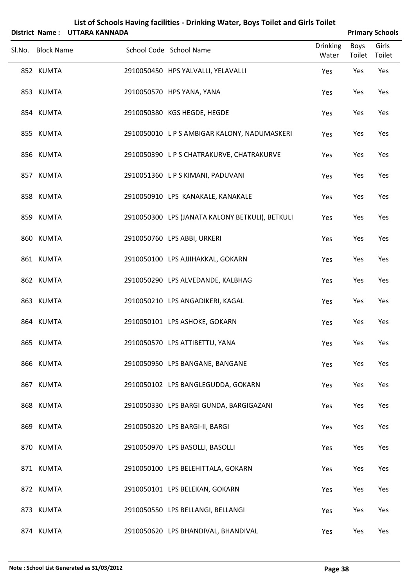| List of Schools Having facilities - Drinking Water, Boys Toilet and Girls Toilet<br>District Name: UTTARA KANNADA |  |                                                 |                          |                | <b>Primary Schools</b> |  |  |
|-------------------------------------------------------------------------------------------------------------------|--|-------------------------------------------------|--------------------------|----------------|------------------------|--|--|
| Sl.No. Block Name                                                                                                 |  | School Code School Name                         | <b>Drinking</b><br>Water | Boys<br>Toilet | Girls<br>Toilet        |  |  |
| 852 KUMTA                                                                                                         |  | 2910050450 HPS YALVALLI, YELAVALLI              | Yes                      | Yes            | Yes                    |  |  |
| 853 KUMTA                                                                                                         |  | 2910050570 HPS YANA, YANA                       | Yes                      | Yes            | Yes                    |  |  |
| 854 KUMTA                                                                                                         |  | 2910050380 KGS HEGDE, HEGDE                     | Yes                      | Yes            | Yes                    |  |  |
| 855 KUMTA                                                                                                         |  | 2910050010 L P S AMBIGAR KALONY, NADUMASKERI    | Yes                      | Yes            | Yes                    |  |  |
| 856 KUMTA                                                                                                         |  | 2910050390 LPS CHATRAKURVE, CHATRAKURVE         | Yes                      | Yes            | Yes                    |  |  |
| 857 KUMTA                                                                                                         |  | 2910051360 LPS KIMANI, PADUVANI                 | Yes                      | Yes            | Yes                    |  |  |
| 858 KUMTA                                                                                                         |  | 2910050910 LPS KANAKALE, KANAKALE               | Yes                      | Yes            | Yes                    |  |  |
| 859 KUMTA                                                                                                         |  | 2910050300 LPS (JANATA KALONY BETKULI), BETKULI | Yes                      | Yes            | Yes                    |  |  |
| 860 KUMTA                                                                                                         |  | 2910050760 LPS ABBI, URKERI                     | Yes                      | Yes            | Yes                    |  |  |
| 861 KUMTA                                                                                                         |  | 2910050100 LPS AJJIHAKKAL, GOKARN               | Yes                      | Yes            | Yes                    |  |  |
| 862 KUMTA                                                                                                         |  | 2910050290 LPS ALVEDANDE, KALBHAG               | Yes                      | Yes            | Yes                    |  |  |
| 863 KUMTA                                                                                                         |  | 2910050210 LPS ANGADIKERI, KAGAL                | Yes                      | Yes            | Yes                    |  |  |
| 864 KUMTA                                                                                                         |  | 2910050101 LPS ASHOKE, GOKARN                   | Yes                      | Yes            | Yes                    |  |  |
| 865 KUMTA                                                                                                         |  | 2910050570 LPS ATTIBETTU, YANA                  | Yes                      | Yes            | Yes                    |  |  |
| 866 KUMTA                                                                                                         |  | 2910050950 LPS BANGANE, BANGANE                 | Yes                      | Yes            | Yes                    |  |  |
| 867 KUMTA                                                                                                         |  | 2910050102 LPS BANGLEGUDDA, GOKARN              | Yes                      | Yes            | Yes                    |  |  |
| 868 KUMTA                                                                                                         |  | 2910050330 LPS BARGI GUNDA, BARGIGAZANI         | Yes                      | Yes            | Yes                    |  |  |
| 869 KUMTA                                                                                                         |  | 2910050320 LPS BARGI-II, BARGI                  | Yes                      | Yes            | Yes                    |  |  |
| 870 KUMTA                                                                                                         |  | 2910050970 LPS BASOLLI, BASOLLI                 | Yes                      | Yes            | Yes                    |  |  |
| 871 KUMTA                                                                                                         |  | 2910050100 LPS BELEHITTALA, GOKARN              | Yes                      | Yes            | Yes                    |  |  |
| 872 KUMTA                                                                                                         |  | 2910050101 LPS BELEKAN, GOKARN                  | Yes                      | Yes            | Yes                    |  |  |
| 873 KUMTA                                                                                                         |  | 2910050550 LPS BELLANGI, BELLANGI               | Yes                      | Yes            | Yes                    |  |  |
| 874 KUMTA                                                                                                         |  | 2910050620 LPS BHANDIVAL, BHANDIVAL             | Yes                      | Yes            | Yes                    |  |  |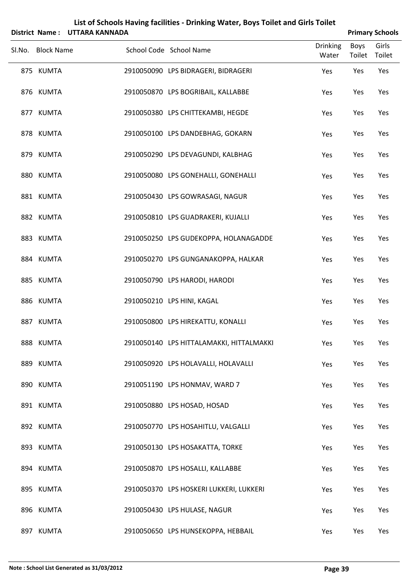| List of Schools Having facilities - Drinking Water, Boys Toilet and Girls Toilet<br>District Name: UTTARA KANNADA |  |                                          |                          |                | <b>Primary Schools</b> |  |  |
|-------------------------------------------------------------------------------------------------------------------|--|------------------------------------------|--------------------------|----------------|------------------------|--|--|
| Sl.No. Block Name                                                                                                 |  | School Code School Name                  | <b>Drinking</b><br>Water | Boys<br>Toilet | Girls<br>Toilet        |  |  |
| 875 KUMTA                                                                                                         |  | 2910050090 LPS BIDRAGERI, BIDRAGERI      | Yes                      | Yes            | Yes                    |  |  |
| 876 KUMTA                                                                                                         |  | 2910050870 LPS BOGRIBAIL, KALLABBE       | Yes                      | Yes            | Yes                    |  |  |
| 877 KUMTA                                                                                                         |  | 2910050380 LPS CHITTEKAMBI, HEGDE        | Yes                      | Yes            | Yes                    |  |  |
| 878 KUMTA                                                                                                         |  | 2910050100 LPS DANDEBHAG, GOKARN         | Yes                      | Yes            | Yes                    |  |  |
| 879 KUMTA                                                                                                         |  | 2910050290 LPS DEVAGUNDI, KALBHAG        | Yes                      | Yes            | Yes                    |  |  |
| 880 KUMTA                                                                                                         |  | 2910050080 LPS GONEHALLI, GONEHALLI      | Yes                      | Yes            | Yes                    |  |  |
| 881 KUMTA                                                                                                         |  | 2910050430 LPS GOWRASAGI, NAGUR          | Yes                      | Yes            | Yes                    |  |  |
| 882 KUMTA                                                                                                         |  | 2910050810 LPS GUADRAKERI, KUJALLI       | Yes                      | Yes            | Yes                    |  |  |
| 883 KUMTA                                                                                                         |  | 2910050250 LPS GUDEKOPPA, HOLANAGADDE    | Yes                      | Yes            | Yes                    |  |  |
| 884 KUMTA                                                                                                         |  | 2910050270 LPS GUNGANAKOPPA, HALKAR      | Yes                      | Yes            | Yes                    |  |  |
| 885 KUMTA                                                                                                         |  | 2910050790 LPS HARODI, HARODI            | Yes                      | Yes            | Yes                    |  |  |
| 886 KUMTA                                                                                                         |  | 2910050210 LPS HINI, KAGAL               | Yes                      | Yes            | Yes                    |  |  |
| 887 KUMTA                                                                                                         |  | 2910050800 LPS HIREKATTU, KONALLI        | Yes                      | Yes            | Yes                    |  |  |
| 888 KUMTA                                                                                                         |  | 2910050140 LPS HITTALAMAKKI, HITTALMAKKI | Yes                      | Yes            | Yes                    |  |  |
| 889 KUMTA                                                                                                         |  | 2910050920 LPS HOLAVALLI, HOLAVALLI      | Yes                      | Yes            | Yes                    |  |  |
| 890 KUMTA                                                                                                         |  | 2910051190 LPS HONMAV, WARD 7            | Yes                      | Yes            | Yes                    |  |  |
| 891 KUMTA                                                                                                         |  | 2910050880 LPS HOSAD, HOSAD              | Yes                      | Yes            | Yes                    |  |  |
| 892 KUMTA                                                                                                         |  | 2910050770 LPS HOSAHITLU, VALGALLI       | Yes                      | Yes            | Yes                    |  |  |
| 893 KUMTA                                                                                                         |  | 2910050130 LPS HOSAKATTA, TORKE          | Yes                      | Yes            | Yes                    |  |  |
| 894 KUMTA                                                                                                         |  | 2910050870 LPS HOSALLI, KALLABBE         | Yes                      | Yes            | Yes                    |  |  |
| 895 KUMTA                                                                                                         |  | 2910050370 LPS HOSKERI LUKKERI, LUKKERI  | Yes                      | Yes            | Yes                    |  |  |
| 896 KUMTA                                                                                                         |  | 2910050430 LPS HULASE, NAGUR             | Yes                      | Yes            | Yes                    |  |  |
| 897 KUMTA                                                                                                         |  | 2910050650 LPS HUNSEKOPPA, HEBBAIL       | Yes                      | Yes            | Yes                    |  |  |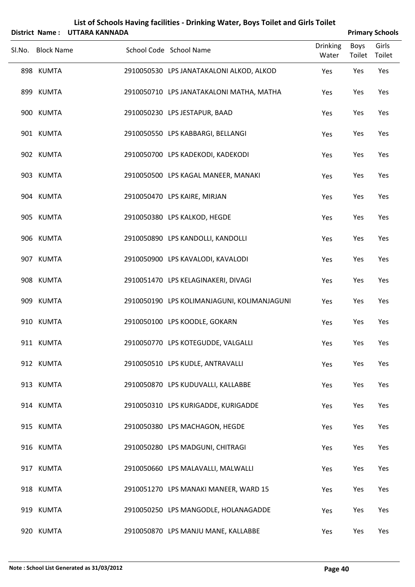|                   | District Name: UTTARA KANNADA |                                             |                          |                       | <b>Primary Schools</b> |
|-------------------|-------------------------------|---------------------------------------------|--------------------------|-----------------------|------------------------|
| Sl.No. Block Name |                               | School Code School Name                     | <b>Drinking</b><br>Water | Boys<br>Toilet Toilet | Girls                  |
| 898 KUMTA         |                               | 2910050530 LPS JANATAKALONI ALKOD, ALKOD    | Yes                      | Yes                   | Yes                    |
| 899 KUMTA         |                               | 2910050710 LPS JANATAKALONI MATHA, MATHA    | Yes                      | Yes                   | Yes                    |
| 900 KUMTA         |                               | 2910050230 LPS JESTAPUR, BAAD               | Yes                      | Yes                   | Yes                    |
| 901 KUMTA         |                               | 2910050550 LPS KABBARGI, BELLANGI           | Yes                      | Yes                   | Yes                    |
| 902 KUMTA         |                               | 2910050700 LPS KADEKODI, KADEKODI           | Yes                      | Yes                   | Yes                    |
| 903 KUMTA         |                               | 2910050500 LPS KAGAL MANEER, MANAKI         | Yes                      | Yes                   | Yes                    |
| 904 KUMTA         |                               | 2910050470 LPS KAIRE, MIRJAN                | Yes                      | Yes                   | Yes                    |
| 905 KUMTA         |                               | 2910050380 LPS KALKOD, HEGDE                | Yes                      | Yes                   | Yes                    |
| 906 KUMTA         |                               | 2910050890 LPS KANDOLLI, KANDOLLI           | Yes                      | Yes                   | Yes                    |
| 907 KUMTA         |                               | 2910050900 LPS KAVALODI, KAVALODI           | Yes                      | Yes                   | Yes                    |
| 908 KUMTA         |                               | 2910051470 LPS KELAGINAKERI, DIVAGI         | Yes                      | Yes                   | Yes                    |
| 909 KUMTA         |                               | 2910050190 LPS KOLIMANJAGUNI, KOLIMANJAGUNI | Yes                      | Yes                   | Yes                    |
| 910 KUMTA         |                               | 2910050100 LPS KOODLE, GOKARN               | Yes                      | Yes                   | Yes                    |
| 911 KUMTA         |                               | 2910050770 LPS KOTEGUDDE, VALGALLI          | Yes                      | Yes                   | Yes                    |
| 912 KUMTA         |                               | 2910050510 LPS KUDLE, ANTRAVALLI            | Yes                      | Yes                   | Yes                    |
| 913 KUMTA         |                               | 2910050870 LPS KUDUVALLI, KALLABBE          | Yes                      | Yes                   | Yes                    |
| 914 KUMTA         |                               | 2910050310 LPS KURIGADDE, KURIGADDE         | Yes                      | Yes                   | Yes                    |
| 915 KUMTA         |                               | 2910050380 LPS MACHAGON, HEGDE              | Yes                      | Yes                   | Yes                    |
| 916 KUMTA         |                               | 2910050280 LPS MADGUNI, CHITRAGI            | Yes                      | Yes                   | Yes                    |
| 917 KUMTA         |                               | 2910050660 LPS MALAVALLI, MALWALLI          | Yes                      | Yes                   | Yes                    |
| 918 KUMTA         |                               | 2910051270 LPS MANAKI MANEER, WARD 15       | Yes                      | Yes                   | Yes                    |
| 919 KUMTA         |                               | 2910050250 LPS MANGODLE, HOLANAGADDE        | Yes                      | Yes                   | Yes                    |
| 920 KUMTA         |                               | 2910050870 LPS MANJU MANE, KALLABBE         | Yes                      | Yes                   | Yes                    |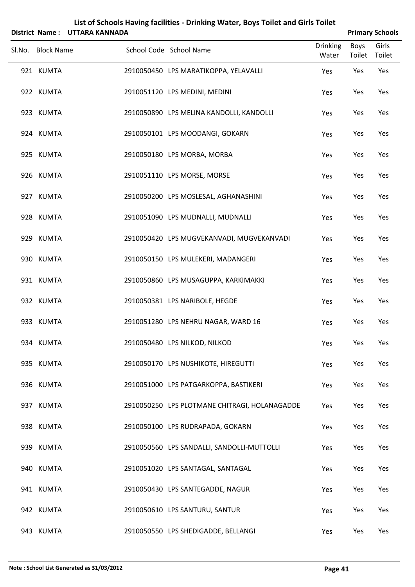|                   | District Name: UTTARA KANNADA |                                               |                          |                       | <b>Primary Schools</b> |
|-------------------|-------------------------------|-----------------------------------------------|--------------------------|-----------------------|------------------------|
| Sl.No. Block Name |                               | School Code School Name                       | <b>Drinking</b><br>Water | <b>Boys</b><br>Toilet | Girls<br>Toilet        |
| 921 KUMTA         |                               | 2910050450 LPS MARATIKOPPA, YELAVALLI         | Yes                      | Yes                   | Yes                    |
| 922 KUMTA         |                               | 2910051120 LPS MEDINI, MEDINI                 | Yes                      | Yes                   | Yes                    |
| 923 KUMTA         |                               | 2910050890 LPS MELINA KANDOLLI, KANDOLLI      | Yes                      | Yes                   | Yes                    |
| 924 KUMTA         |                               | 2910050101 LPS MOODANGI, GOKARN               | Yes                      | Yes                   | Yes                    |
| 925 KUMTA         |                               | 2910050180 LPS MORBA, MORBA                   | Yes                      | Yes                   | Yes                    |
| 926 KUMTA         |                               | 2910051110 LPS MORSE, MORSE                   | Yes                      | Yes                   | Yes                    |
| 927 KUMTA         |                               | 2910050200 LPS MOSLESAL, AGHANASHINI          | Yes                      | Yes                   | Yes                    |
| 928 KUMTA         |                               | 2910051090 LPS MUDNALLI, MUDNALLI             | Yes                      | Yes                   | Yes                    |
| 929 KUMTA         |                               | 2910050420 LPS MUGVEKANVADI, MUGVEKANVADI     | Yes                      | Yes                   | Yes                    |
| 930 KUMTA         |                               | 2910050150 LPS MULEKERI, MADANGERI            | Yes                      | Yes                   | Yes                    |
| 931 KUMTA         |                               | 2910050860 LPS MUSAGUPPA, KARKIMAKKI          | Yes                      | Yes                   | Yes                    |
| 932 KUMTA         |                               | 2910050381 LPS NARIBOLE, HEGDE                | Yes                      | Yes                   | Yes                    |
| 933 KUMTA         |                               | 2910051280 LPS NEHRU NAGAR, WARD 16           | Yes                      | Yes                   | Yes                    |
| 934 KUMTA         |                               | 2910050480 LPS NILKOD, NILKOD                 | Yes                      | Yes                   | Yes                    |
| 935 KUMTA         |                               | 2910050170 LPS NUSHIKOTE, HIREGUTTI           | Yes                      | Yes                   | Yes                    |
| 936 KUMTA         |                               | 2910051000 LPS PATGARKOPPA, BASTIKERI         | Yes                      | Yes                   | Yes                    |
| 937 KUMTA         |                               | 2910050250 LPS PLOTMANE CHITRAGI, HOLANAGADDE | Yes                      | Yes                   | Yes                    |
| 938 KUMTA         |                               | 2910050100 LPS RUDRAPADA, GOKARN              | Yes                      | Yes                   | Yes                    |
| 939 KUMTA         |                               | 2910050560 LPS SANDALLI, SANDOLLI-MUTTOLLI    | Yes                      | Yes                   | Yes                    |
| 940 KUMTA         |                               | 2910051020 LPS SANTAGAL, SANTAGAL             | Yes                      | Yes                   | Yes                    |
| 941 KUMTA         |                               | 2910050430 LPS SANTEGADDE, NAGUR              | Yes                      | Yes                   | Yes                    |
| 942 KUMTA         |                               | 2910050610 LPS SANTURU, SANTUR                | Yes                      | Yes                   | Yes                    |
| 943 KUMTA         |                               | 2910050550 LPS SHEDIGADDE, BELLANGI           | Yes                      | Yes                   | Yes                    |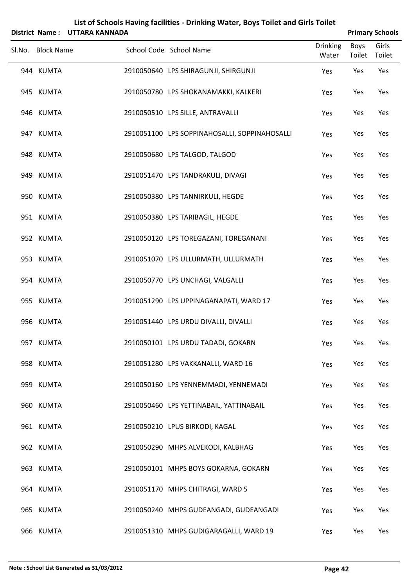|                   | District Name: UTTARA KANNADA |                                               |                          |                       | <b>Primary Schools</b> |
|-------------------|-------------------------------|-----------------------------------------------|--------------------------|-----------------------|------------------------|
| Sl.No. Block Name |                               | School Code School Name                       | <b>Drinking</b><br>Water | <b>Boys</b><br>Toilet | Girls<br>Toilet        |
| 944 KUMTA         |                               | 2910050640 LPS SHIRAGUNJI, SHIRGUNJI          | Yes                      | Yes                   | Yes                    |
| 945 KUMTA         |                               | 2910050780 LPS SHOKANAMAKKI, KALKERI          | Yes                      | Yes                   | Yes                    |
| 946 KUMTA         |                               | 2910050510 LPS SILLE, ANTRAVALLI              | Yes                      | Yes                   | Yes                    |
| 947 KUMTA         |                               | 2910051100 LPS SOPPINAHOSALLI, SOPPINAHOSALLI | Yes                      | Yes                   | Yes                    |
| 948 KUMTA         |                               | 2910050680 LPS TALGOD, TALGOD                 | Yes                      | Yes                   | Yes                    |
| 949 KUMTA         |                               | 2910051470 LPS TANDRAKULI, DIVAGI             | Yes                      | Yes                   | Yes                    |
| 950 KUMTA         |                               | 2910050380 LPS TANNIRKULI, HEGDE              | Yes                      | Yes                   | Yes                    |
| 951 KUMTA         |                               | 2910050380 LPS TARIBAGIL, HEGDE               | Yes                      | Yes                   | Yes                    |
| 952 KUMTA         |                               | 2910050120 LPS TOREGAZANI, TOREGANANI         | Yes                      | Yes                   | Yes                    |
| 953 KUMTA         |                               | 2910051070 LPS ULLURMATH, ULLURMATH           | Yes                      | Yes                   | Yes                    |
| 954 KUMTA         |                               | 2910050770 LPS UNCHAGI, VALGALLI              | Yes                      | Yes                   | Yes                    |
| 955 KUMTA         |                               | 2910051290 LPS UPPINAGANAPATI, WARD 17        | Yes                      | Yes                   | Yes                    |
| 956 KUMTA         |                               | 2910051440 LPS URDU DIVALLI, DIVALLI          | Yes                      | Yes                   | Yes                    |
| 957 KUMTA         |                               | 2910050101 LPS URDU TADADI, GOKARN            | Yes                      | Yes                   | Yes                    |
| 958 KUMTA         |                               | 2910051280 LPS VAKKANALLI, WARD 16            | Yes                      | Yes                   | Yes                    |
| 959 KUMTA         |                               | 2910050160 LPS YENNEMMADI, YENNEMADI          | Yes                      | Yes                   | Yes                    |
| 960 KUMTA         |                               | 2910050460 LPS YETTINABAIL, YATTINABAIL       | Yes                      | Yes                   | Yes                    |
| 961 KUMTA         |                               | 2910050210 LPUS BIRKODI, KAGAL                | Yes                      | Yes                   | Yes                    |
| 962 KUMTA         |                               | 2910050290 MHPS ALVEKODI, KALBHAG             | Yes                      | Yes                   | Yes                    |
| 963 KUMTA         |                               | 2910050101 MHPS BOYS GOKARNA, GOKARN          | Yes                      | Yes                   | Yes                    |
| 964 KUMTA         |                               | 2910051170 MHPS CHITRAGI, WARD 5              | Yes                      | Yes                   | Yes                    |
| 965 KUMTA         |                               | 2910050240 MHPS GUDEANGADI, GUDEANGADI        | Yes                      | Yes                   | Yes                    |
| 966 KUMTA         |                               | 2910051310 MHPS GUDIGARAGALLI, WARD 19        | Yes                      | Yes                   | Yes                    |